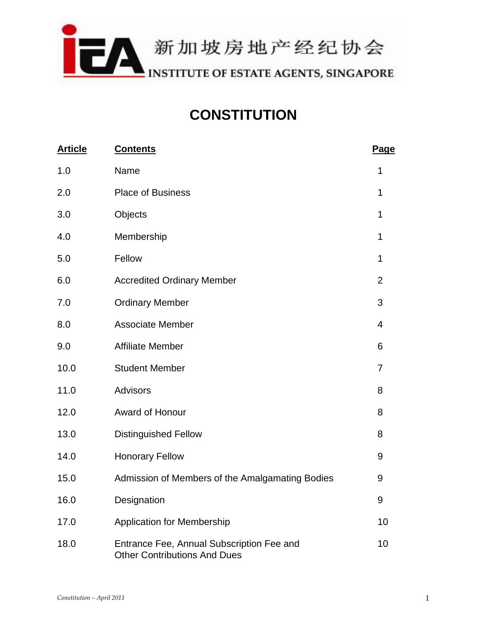

# **CONSTITUTION**

| <b>Article</b> | <b>Contents</b>                                                                  | Page           |
|----------------|----------------------------------------------------------------------------------|----------------|
| 1.0            | Name                                                                             | 1              |
| 2.0            | <b>Place of Business</b>                                                         | 1              |
| 3.0            | Objects                                                                          | 1              |
| 4.0            | Membership                                                                       | 1              |
| 5.0            | Fellow                                                                           | 1              |
| 6.0            | <b>Accredited Ordinary Member</b>                                                | $\overline{2}$ |
| 7.0            | <b>Ordinary Member</b>                                                           | 3              |
| 8.0            | <b>Associate Member</b>                                                          | 4              |
| 9.0            | <b>Affiliate Member</b>                                                          | 6              |
| 10.0           | <b>Student Member</b>                                                            | $\overline{7}$ |
| 11.0           | <b>Advisors</b>                                                                  | 8              |
| 12.0           | Award of Honour                                                                  | 8              |
| 13.0           | <b>Distinguished Fellow</b>                                                      | 8              |
| 14.0           | <b>Honorary Fellow</b>                                                           | 9              |
| 15.0           | Admission of Members of the Amalgamating Bodies                                  | 9              |
| 16.0           | Designation                                                                      | 9              |
| 17.0           | <b>Application for Membership</b>                                                | 10             |
| 18.0           | Entrance Fee, Annual Subscription Fee and<br><b>Other Contributions And Dues</b> | 10             |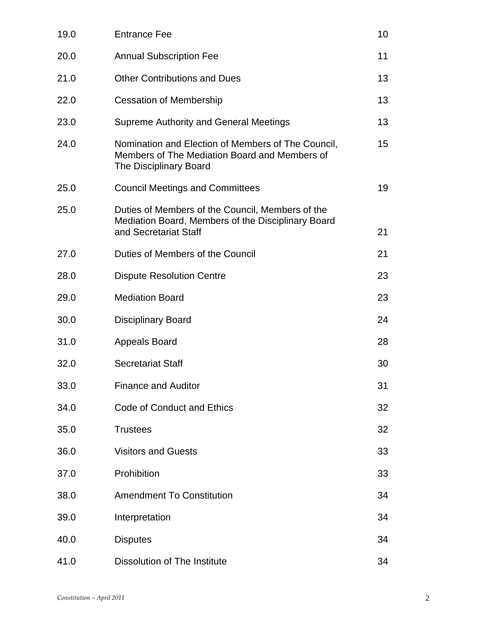| 19.0 | <b>Entrance Fee</b>                                                                                                             | 10 |
|------|---------------------------------------------------------------------------------------------------------------------------------|----|
| 20.0 | <b>Annual Subscription Fee</b>                                                                                                  | 11 |
| 21.0 | <b>Other Contributions and Dues</b>                                                                                             | 13 |
| 22.0 | <b>Cessation of Membership</b>                                                                                                  | 13 |
| 23.0 | <b>Supreme Authority and General Meetings</b>                                                                                   | 13 |
| 24.0 | Nomination and Election of Members of The Council,<br>Members of The Mediation Board and Members of<br>The Disciplinary Board   | 15 |
| 25.0 | <b>Council Meetings and Committees</b>                                                                                          | 19 |
| 25.0 | Duties of Members of the Council, Members of the<br>Mediation Board, Members of the Disciplinary Board<br>and Secretariat Staff | 21 |
| 27.0 | Duties of Members of the Council                                                                                                | 21 |
| 28.0 | <b>Dispute Resolution Centre</b>                                                                                                | 23 |
| 29.0 | <b>Mediation Board</b>                                                                                                          | 23 |
| 30.0 | <b>Disciplinary Board</b>                                                                                                       | 24 |
| 31.0 | <b>Appeals Board</b>                                                                                                            | 28 |
| 32.0 | <b>Secretariat Staff</b>                                                                                                        | 30 |
| 33.0 | <b>Finance and Auditor</b>                                                                                                      | 31 |
| 34.0 | <b>Code of Conduct and Ethics</b>                                                                                               | 32 |
| 35.0 | <b>Trustees</b>                                                                                                                 | 32 |
| 36.0 | <b>Visitors and Guests</b>                                                                                                      | 33 |
| 37.0 | Prohibition                                                                                                                     | 33 |
| 38.0 | <b>Amendment To Constitution</b>                                                                                                | 34 |
| 39.0 | Interpretation                                                                                                                  | 34 |
| 40.0 | <b>Disputes</b>                                                                                                                 | 34 |
| 41.0 | Dissolution of The Institute                                                                                                    | 34 |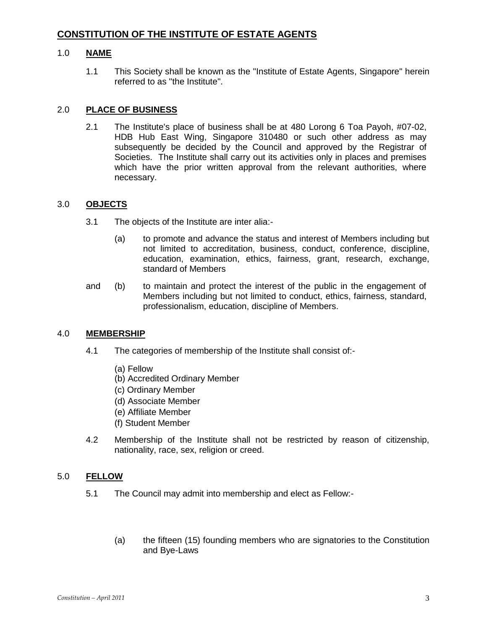# **CONSTITUTION OF THE INSTITUTE OF ESTATE AGENTS**

# 1.0 **NAME**

1.1 This Society shall be known as the "Institute of Estate Agents, Singapore" herein referred to as ''the Institute".

# 2.0 **PLACE OF BUSINESS**

2.1 The Institute's place of business shall be at 480 Lorong 6 Toa Payoh, #07-02, HDB Hub East Wing, Singapore 310480 or such other address as may subsequently be decided by the Council and approved by the Registrar of Societies. The Institute shall carry out its activities only in places and premises which have the prior written approval from the relevant authorities, where necessary.

## 3.0 **OBJECTS**

- 3.1 The objects of the Institute are inter alia:-
	- (a) to promote and advance the status and interest of Members including but not limited to accreditation, business, conduct, conference, discipline, education, examination, ethics, fairness, grant, research, exchange, standard of Members
- and (b) to maintain and protect the interest of the public in the engagement of Members including but not limited to conduct, ethics, fairness, standard, professionalism, education, discipline of Members.

## 4.0 **MEMBERSHIP**

- 4.1 The categories of membership of the Institute shall consist of:-
	- (a) Fellow
	- (b) Accredited Ordinary Member
	- (c) Ordinary Member
	- (d) Associate Member
	- (e) Affiliate Member
	- (f) Student Member
- 4.2 Membership of the Institute shall not be restricted by reason of citizenship, nationality, race, sex, religion or creed.

# 5.0 **FELLOW**

- 5.1 The Council may admit into membership and elect as Fellow:-
	- (a) the fifteen (15) founding members who are signatories to the Constitution and Bye-Laws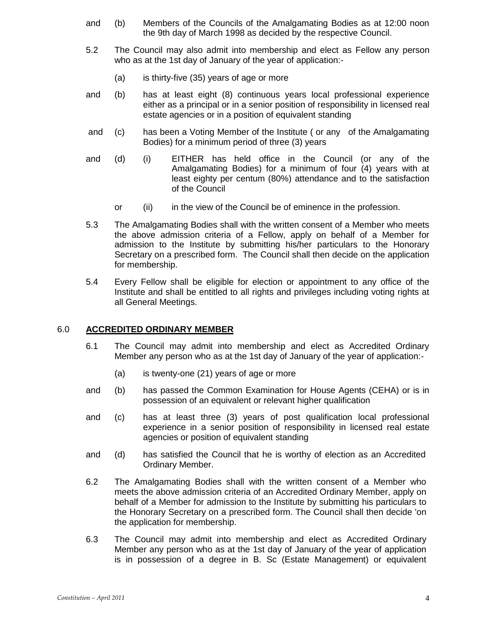- and (b) Members of the Councils of the Amalgamating Bodies as at 12:00 noon the 9th day of March 1998 as decided by the respective Council.
- 5.2 The Council may also admit into membership and elect as Fellow any person who as at the 1st day of January of the year of application:-
	- (a) is thirty-five (35) years of age or more
- and (b) has at least eight (8) continuous years local professional experience either as a principal or in a senior position of responsibility in licensed real estate agencies or in a position of equivalent standing
- and (c) has been a Voting Member of the Institute ( or any of the Amalgamating Bodies) for a minimum period of three (3) years
- and (d) (i) EITHER has held office in the Council (or any of the Amalgamating Bodies) for a minimum of four (4) years with at least eighty per centum (80%) attendance and to the satisfaction of the Council
	- or (ii) in the view of the Council be of eminence in the profession.
- 5.3 The Amalgamating Bodies shall with the written consent of a Member who meets the above admission criteria of a Fellow, apply on behalf of a Member for admission to the Institute by submitting his/her particulars to the Honorary Secretary on a prescribed form. The Council shall then decide on the application for membership.
- 5.4 Every Fellow shall be eligible for election or appointment to any office of the Institute and shall be entitled to all rights and privileges including voting rights at all General Meetings.

## 6.0 **ACCREDITED ORDINARY MEMBER**

- 6.1 The Council may admit into membership and elect as Accredited Ordinary Member any person who as at the 1st day of January of the year of application:-
	- (a) is twenty-one (21) years of age or more
- and (b) has passed the Common Examination for House Agents (CEHA) or is in possession of an equivalent or relevant higher qualification
- and (c) has at least three (3) years of post qualification local professional experience in a senior position of responsibility in licensed real estate agencies or position of equivalent standing
- and (d) has satisfied the Council that he is worthy of election as an Accredited Ordinary Member.
- 6.2 The Amalgamating Bodies shall with the written consent of a Member who meets the above admission criteria of an Accredited Ordinary Member, apply on behalf of a Member for admission to the Institute by submitting his particulars to the Honorary Secretary on a prescribed form. The Council shall then decide 'on the application for membership.
- 6.3 The Council may admit into membership and elect as Accredited Ordinary Member any person who as at the 1st day of January of the year of application is in possession of a degree in B. Sc (Estate Management) or equivalent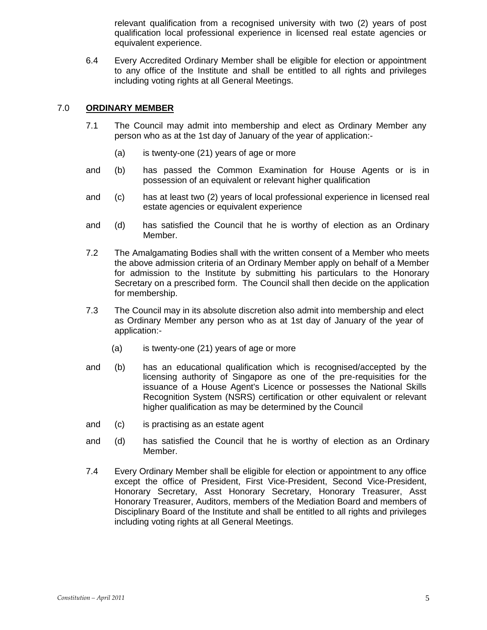relevant qualification from a recognised university with two (2) years of post qualification local professional experience in licensed real estate agencies or equivalent experience.

6.4 Every Accredited Ordinary Member shall be eligible for election or appointment to any office of the Institute and shall be entitled to all rights and privileges including voting rights at all General Meetings.

# 7.0 **ORDINARY MEMBER**

- 7.1 The Council may admit into membership and elect as Ordinary Member any person who as at the 1st day of January of the year of application:-
	- (a) is twenty-one (21) years of age or more
- and (b) has passed the Common Examination for House Agents or is in possession of an equivalent or relevant higher qualification
- and (c) has at least two (2) years of local professional experience in licensed real estate agencies or equivalent experience
- and (d) has satisfied the Council that he is worthy of election as an Ordinary Member.
- 7.2 The Amalgamating Bodies shall with the written consent of a Member who meets the above admission criteria of an Ordinary Member apply on behalf of a Member for admission to the Institute by submitting his particulars to the Honorary Secretary on a prescribed form. The Council shall then decide on the application for membership.
- 7.3 The Council may in its absolute discretion also admit into membership and elect as Ordinary Member any person who as at 1st day of January of the year of application:-
	- (a) is twenty-one (21) years of age or more
- and (b) has an educational qualification which is recognised/accepted by the licensing authority of Singapore as one of the pre-requisities for the issuance of a House Agent's Licence or possesses the National Skills Recognition System (NSRS) certification or other equivalent or relevant higher qualification as may be determined by the Council
- and (c) is practising as an estate agent
- and (d) has satisfied the Council that he is worthy of election as an Ordinary Member.
- 7.4 Every Ordinary Member shall be eligible for election or appointment to any office except the office of President, First Vice-President, Second Vice-President, Honorary Secretary, Asst Honorary Secretary, Honorary Treasurer, Asst Honorary Treasurer, Auditors, members of the Mediation Board and members of Disciplinary Board of the Institute and shall be entitled to all rights and privileges including voting rights at all General Meetings.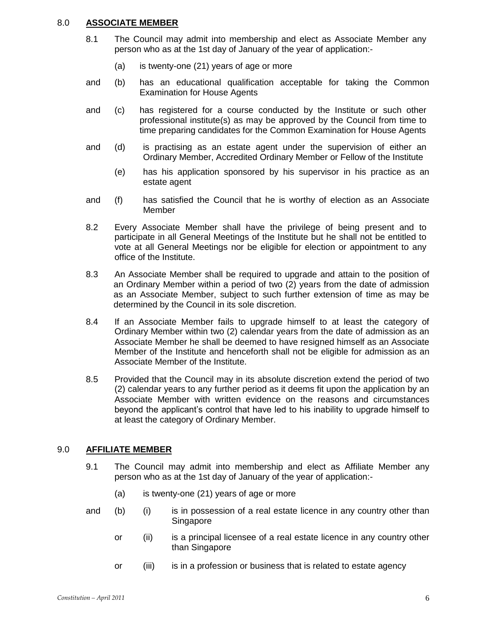# 8.0 **ASSOCIATE MEMBER**

- 8.1 The Council may admit into membership and elect as Associate Member any person who as at the 1st day of January of the year of application:-
	- (a) is twenty-one (21) years of age or more
- and (b) has an educational qualification acceptable for taking the Common Examination for House Agents
- and (c) has registered for a course conducted by the Institute or such other professional institute(s) as may be approved by the Council from time to time preparing candidates for the Common Examination for House Agents
- and (d) is practising as an estate agent under the supervision of either an Ordinary Member, Accredited Ordinary Member or Fellow of the Institute
	- (e) has his application sponsored by his supervisor in his practice as an estate agent
- and (f) has satisfied the Council that he is worthy of election as an Associate Member
- 8.2 Every Associate Member shall have the privilege of being present and to participate in all General Meetings of the Institute but he shall not be entitled to vote at all General Meetings nor be eligible for election or appointment to any office of the Institute.
- 8.3 An Associate Member shall be required to upgrade and attain to the position of an Ordinary Member within a period of two (2) years from the date of admission as an Associate Member, subject to such further extension of time as may be determined by the Council in its sole discretion.
- 8.4 If an Associate Member fails to upgrade himself to at least the category of Ordinary Member within two (2) calendar years from the date of admission as an Associate Member he shall be deemed to have resigned himself as an Associate Member of the Institute and henceforth shall not be eligible for admission as an Associate Member of the Institute.
- 8.5 Provided that the Council may in its absolute discretion extend the period of two (2) calendar years to any further period as it deems fit upon the application by an Associate Member with written evidence on the reasons and circumstances beyond the applicant's control that have led to his inability to upgrade himself to at least the category of Ordinary Member.

# 9.0 **AFFILIATE MEMBER**

- 9.1 The Council may admit into membership and elect as Affiliate Member any person who as at the 1st day of January of the year of application:-
	- (a) is twenty-one (21) years of age or more
- and (b) (i) is in possession of a real estate licence in any country other than Singapore
	- or (ii) is a principal licensee of a real estate licence in any country other than Singapore
	- or (iii) is in a profession or business that is related to estate agency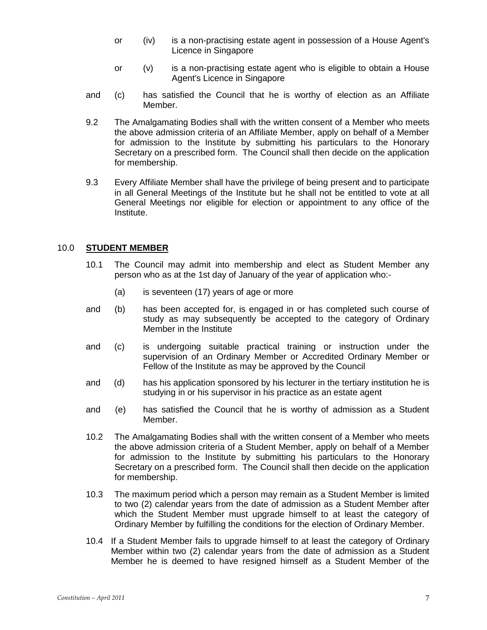- or (iv) is a non-practising estate agent in possession of a House Agent's Licence in Singapore
- or (v) is a non-practising estate agent who is eligible to obtain a House Agent's Licence in Singapore
- and (c) has satisfied the Council that he is worthy of election as an Affiliate Member.
- 9.2 The Amalgamating Bodies shall with the written consent of a Member who meets the above admission criteria of an Affiliate Member, apply on behalf of a Member for admission to the Institute by submitting his particulars to the Honorary Secretary on a prescribed form. The Council shall then decide on the application for membership.
- 9.3 Every Affiliate Member shall have the privilege of being present and to participate in all General Meetings of the Institute but he shall not be entitled to vote at all General Meetings nor eligible for election or appointment to any office of the Institute.

## 10.0 **STUDENT MEMBER**

- 10.1 The Council may admit into membership and elect as Student Member any person who as at the 1st day of January of the year of application who:-
	- (a) is seventeen (17) years of age or more
- and (b) has been accepted for, is engaged in or has completed such course of study as may subsequently be accepted to the category of Ordinary Member in the Institute
- and (c) is undergoing suitable practical training or instruction under the supervision of an Ordinary Member or Accredited Ordinary Member or Fellow of the Institute as may be approved by the Council
- and (d) has his application sponsored by his lecturer in the tertiary institution he is studying in or his supervisor in his practice as an estate agent
- and (e) has satisfied the Council that he is worthy of admission as a Student Member.
- 10.2 The Amalgamating Bodies shall with the written consent of a Member who meets the above admission criteria of a Student Member, apply on behalf of a Member for admission to the Institute by submitting his particulars to the Honorary Secretary on a prescribed form. The Council shall then decide on the application for membership.
- 10.3 The maximum period which a person may remain as a Student Member is limited to two (2) calendar years from the date of admission as a Student Member after which the Student Member must upgrade himself to at least the category of Ordinary Member by fulfilling the conditions for the election of Ordinary Member.
- 10.4 If a Student Member fails to upgrade himself to at least the category of Ordinary Member within two (2) calendar years from the date of admission as a Student Member he is deemed to have resigned himself as a Student Member of the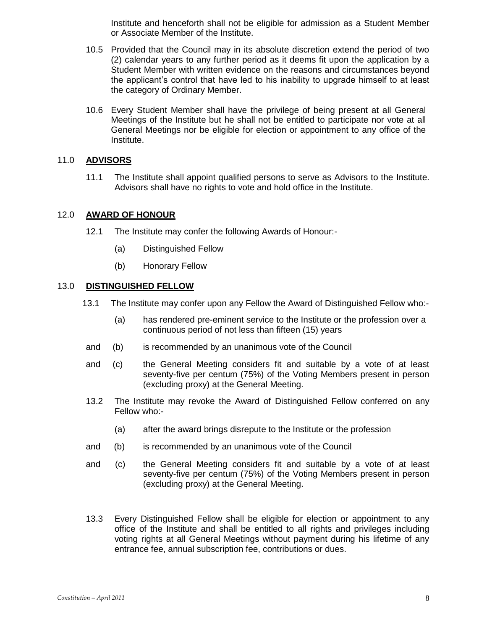Institute and henceforth shall not be eligible for admission as a Student Member or Associate Member of the Institute.

- 10.5 Provided that the Council may in its absolute discretion extend the period of two (2) calendar years to any further period as it deems fit upon the application by a Student Member with written evidence on the reasons and circumstances beyond the applicant's control that have led to his inability to upgrade himself to at least the category of Ordinary Member.
- 10.6 Every Student Member shall have the privilege of being present at all General Meetings of the Institute but he shall not be entitled to participate nor vote at all General Meetings nor be eligible for election or appointment to any office of the Institute.

# 11.0 **ADVISORS**

11.1 The Institute shall appoint qualified persons to serve as Advisors to the Institute. Advisors shall have no rights to vote and hold office in the Institute.

## 12.0 **AWARD OF HONOUR**

- 12.1 The Institute may confer the following Awards of Honour:-
	- (a) Distinguished Fellow
	- (b) Honorary Fellow

## 13.0 **DISTINGUISHED FELLOW**

- 13.1 The Institute may confer upon any Fellow the Award of Distinguished Fellow who:-
	- (a) has rendered pre-eminent service to the Institute or the profession over a continuous period of not less than fifteen (15) years
- and (b) is recommended by an unanimous vote of the Council
- and (c) the General Meeting considers fit and suitable by a vote of at least seventy-five per centum (75%) of the Voting Members present in person (excluding proxy) at the General Meeting.
- 13.2 The Institute may revoke the Award of Distinguished Fellow conferred on any Fellow who:-
	- (a) after the award brings disrepute to the Institute or the profession
- and (b) is recommended by an unanimous vote of the Council
- and (c) the General Meeting considers fit and suitable by a vote of at least seventy-five per centum (75%) of the Voting Members present in person (excluding proxy) at the General Meeting.
- 13.3 Every Distinguished Fellow shall be eligible for election or appointment to any office of the Institute and shall be entitled to all rights and privileges including voting rights at all General Meetings without payment during his lifetime of any entrance fee, annual subscription fee, contributions or dues.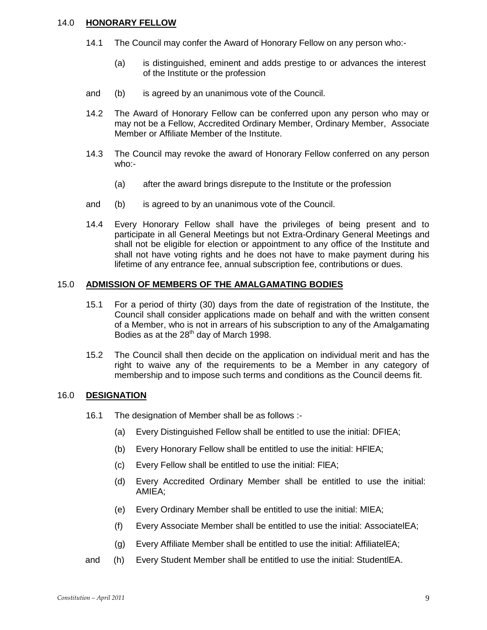## 14.0 **HONORARY FELLOW**

- 14.1 The Council may confer the Award of Honorary Fellow on any person who:-
	- (a) is distinguished, eminent and adds prestige to or advances the interest of the Institute or the profession
- and (b) is agreed by an unanimous vote of the Council.
- 14.2 The Award of Honorary Fellow can be conferred upon any person who may or may not be a Fellow, Accredited Ordinary Member, Ordinary Member, Associate Member or Affiliate Member of the Institute.
- 14.3 The Council may revoke the award of Honorary Fellow conferred on any person who:-
	- (a) after the award brings disrepute to the Institute or the profession
- and (b) is agreed to by an unanimous vote of the Council.
- 14.4 Every Honorary Fellow shall have the privileges of being present and to participate in all General Meetings but not Extra-Ordinary General Meetings and shall not be eligible for election or appointment to any office of the Institute and shall not have voting rights and he does not have to make payment during his lifetime of any entrance fee, annual subscription fee, contributions or dues.

## 15.0 **ADMISSION OF MEMBERS OF THE AMALGAMATING BODIES**

- 15.1 For a period of thirty (30) days from the date of registration of the Institute, the Council shall consider applications made on behalf and with the written consent of a Member, who is not in arrears of his subscription to any of the Amalgamating Bodies as at the  $28<sup>th</sup>$  day of March 1998.
- 15.2 The Council shall then decide on the application on individual merit and has the right to waive any of the requirements to be a Member in any category of membership and to impose such terms and conditions as the Council deems fit.

## 16.0 **DESIGNATION**

- 16.1 The designation of Member shall be as follows :-
	- (a) Every Distinguished Fellow shall be entitled to use the initial: DFIEA;
	- (b) Every Honorary Fellow shall be entitled to use the initial: HFlEA;
	- (c) Every Fellow shall be entitled to use the initial: FlEA;
	- (d) Every Accredited Ordinary Member shall be entitled to use the initial: AMIEA;
	- (e) Every Ordinary Member shall be entitled to use the initial: MIEA;
	- (f) Every Associate Member shall be entitled to use the initial: AssociatelEA;
	- (g) Every Affiliate Member shall be entitled to use the initial: AffiliatelEA;
- and (h) Every Student Member shall be entitled to use the initial: StudentlEA.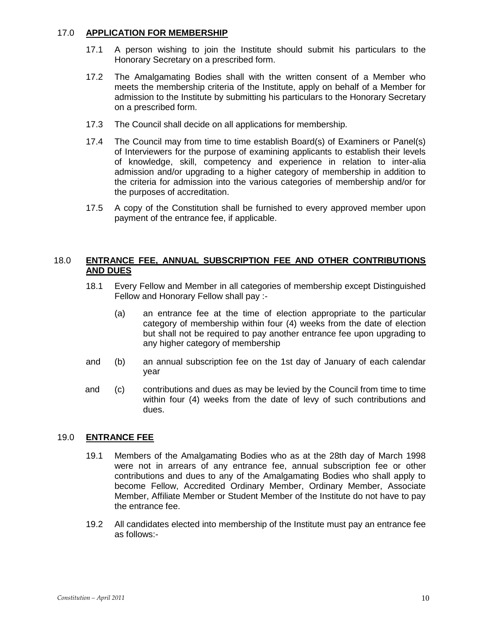# 17.0 **APPLICATION FOR MEMBERSHIP**

- 17.1 A person wishing to join the Institute should submit his particulars to the Honorary Secretary on a prescribed form.
- 17.2 The Amalgamating Bodies shall with the written consent of a Member who meets the membership criteria of the Institute, apply on behalf of a Member for admission to the Institute by submitting his particulars to the Honorary Secretary on a prescribed form.
- 17.3 The Council shall decide on all applications for membership.
- 17.4 The Council may from time to time establish Board(s) of Examiners or Panel(s) of Interviewers for the purpose of examining applicants to establish their levels of knowledge, skill, competency and experience in relation to inter-alia admission and/or upgrading to a higher category of membership in addition to the criteria for admission into the various categories of membership and/or for the purposes of accreditation.
- 17.5 A copy of the Constitution shall be furnished to every approved member upon payment of the entrance fee, if applicable.

# 18.0 **ENTRANCE FEE, ANNUAL SUBSCRIPTION FEE AND OTHER CONTRIBUTIONS AND DUES**

- 18.1 Every Fellow and Member in all categories of membership except Distinguished Fellow and Honorary Fellow shall pay :-
	- (a) an entrance fee at the time of election appropriate to the particular category of membership within four (4) weeks from the date of election but shall not be required to pay another entrance fee upon upgrading to any higher category of membership
- and (b) an annual subscription fee on the 1st day of January of each calendar year
- and (c) contributions and dues as may be levied by the Council from time to time within four (4) weeks from the date of levy of such contributions and dues.

# 19.0 **ENTRANCE FEE**

- 19.1 Members of the Amalgamating Bodies who as at the 28th day of March 1998 were not in arrears of any entrance fee, annual subscription fee or other contributions and dues to any of the Amalgamating Bodies who shall apply to become Fellow, Accredited Ordinary Member, Ordinary Member, Associate Member, Affiliate Member or Student Member of the Institute do not have to pay the entrance fee.
- 19.2 All candidates elected into membership of the Institute must pay an entrance fee as follows:-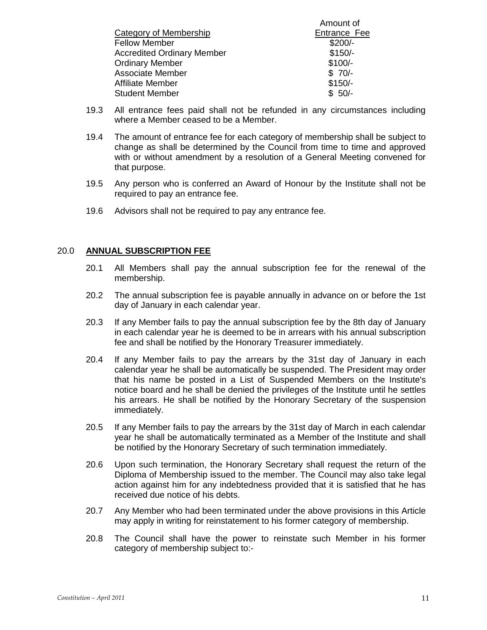|                                   | Alliount of  |
|-----------------------------------|--------------|
| Category of Membership            | Entrance Fee |
| <b>Fellow Member</b>              | $$200/-$     |
| <b>Accredited Ordinary Member</b> | $$150/-$     |
| <b>Ordinary Member</b>            | $$100/-$     |
| <b>Associate Member</b>           | $$70/-$      |
| Affiliate Member                  | $$150/-$     |
| <b>Student Member</b>             | $$50/-$      |
|                                   |              |

19.3 All entrance fees paid shall not be refunded in any circumstances including where a Member ceased to be a Member.

 $A_{\text{max}}$ 

- 19.4 The amount of entrance fee for each category of membership shall be subject to change as shall be determined by the Council from time to time and approved with or without amendment by a resolution of a General Meeting convened for that purpose.
- 19.5 Any person who is conferred an Award of Honour by the Institute shall not be required to pay an entrance fee.
- 19.6 Advisors shall not be required to pay any entrance fee.

## 20.0 **ANNUAL SUBSCRIPTION FEE**

- 20.1 All Members shall pay the annual subscription fee for the renewal of the membership.
- 20.2 The annual subscription fee is payable annually in advance on or before the 1st day of January in each calendar year.
- 20.3 If any Member fails to pay the annual subscription fee by the 8th day of January in each calendar year he is deemed to be in arrears with his annual subscription fee and shall be notified by the Honorary Treasurer immediately.
- 20.4 If any Member fails to pay the arrears by the 31st day of January in each calendar year he shall be automatically be suspended. The President may order that his name be posted in a List of Suspended Members on the Institute's notice board and he shall be denied the privileges of the Institute until he settles his arrears. He shall be notified by the Honorary Secretary of the suspension immediately.
- 20.5 If any Member fails to pay the arrears by the 31st day of March in each calendar year he shall be automatically terminated as a Member of the Institute and shall be notified by the Honorary Secretary of such termination immediately.
- 20.6 Upon such termination, the Honorary Secretary shall request the return of the Diploma of Membership issued to the member. The Council may also take legal action against him for any indebtedness provided that it is satisfied that he has received due notice of his debts.
- 20.7 Any Member who had been terminated under the above provisions in this Article may apply in writing for reinstatement to his former category of membership.
- 20.8 The Council shall have the power to reinstate such Member in his former category of membership subject to:-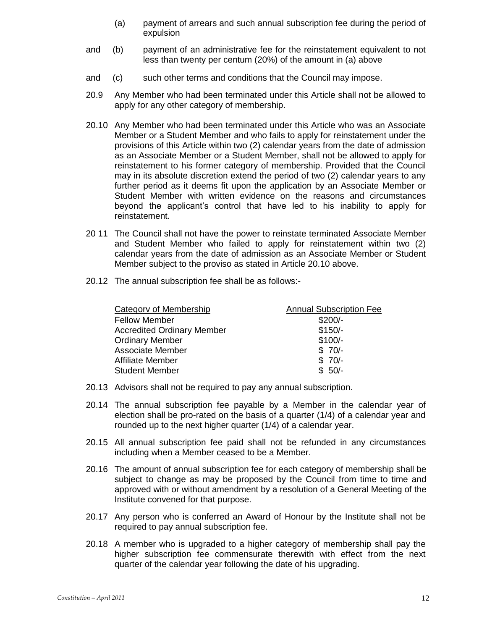- (a) payment of arrears and such annual subscription fee during the period of expulsion
- and (b) payment of an administrative fee for the reinstatement equivalent to not less than twenty per centum (20%) of the amount in (a) above
- and (c) such other terms and conditions that the Council may impose.
- 20.9 Any Member who had been terminated under this Article shall not be allowed to apply for any other category of membership.
- 20.10 Any Member who had been terminated under this Article who was an Associate Member or a Student Member and who fails to apply for reinstatement under the provisions of this Article within two (2) calendar years from the date of admission as an Associate Member or a Student Member, shall not be allowed to apply for reinstatement to his former category of membership. Provided that the Council may in its absolute discretion extend the period of two (2) calendar years to any further period as it deems fit upon the application by an Associate Member or Student Member with written evidence on the reasons and circumstances beyond the applicant's control that have led to his inability to apply for reinstatement.
- 20 11 The Council shall not have the power to reinstate terminated Associate Member and Student Member who failed to apply for reinstatement within two (2) calendar years from the date of admission as an Associate Member or Student Member subject to the proviso as stated in Article 20.10 above.
- 20.12 The annual subscription fee shall be as follows:-

| Category of Membership            | <b>Annual Subscription Fee</b> |
|-----------------------------------|--------------------------------|
| <b>Fellow Member</b>              | $$200/-$                       |
| <b>Accredited Ordinary Member</b> | $$150/-$                       |
| <b>Ordinary Member</b>            | $$100/-$                       |
| <b>Associate Member</b>           | $$70/-$                        |
| Affiliate Member                  | $$70/-$                        |
| <b>Student Member</b>             | $$50/-$                        |

- 20.13 Advisors shall not be required to pay any annual subscription.
- 20.14 The annual subscription fee payable by a Member in the calendar year of election shall be pro-rated on the basis of a quarter (1/4) of a calendar year and rounded up to the next higher quarter (1/4) of a calendar year.
- 20.15 All annual subscription fee paid shall not be refunded in any circumstances including when a Member ceased to be a Member.
- 20.16 The amount of annual subscription fee for each category of membership shall be subject to change as may be proposed by the Council from time to time and approved with or without amendment by a resolution of a General Meeting of the Institute convened for that purpose.
- 20.17 Any person who is conferred an Award of Honour by the Institute shall not be required to pay annual subscription fee.
- 20.18 A member who is upgraded to a higher category of membership shall pay the higher subscription fee commensurate therewith with effect from the next quarter of the calendar year following the date of his upgrading.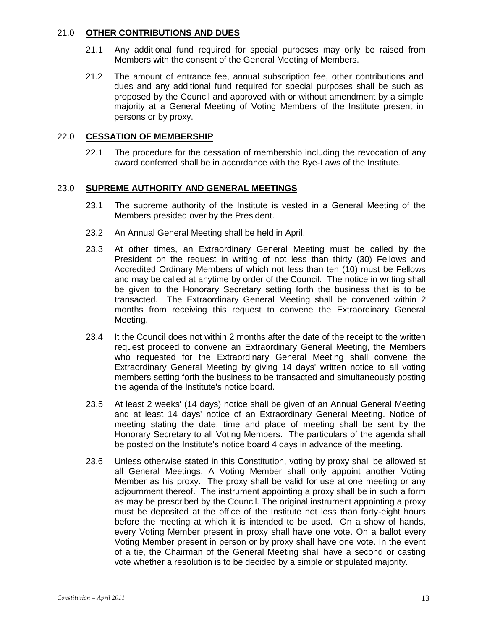# 21.0 **OTHER CONTRIBUTIONS AND DUES**

- 21.1 Any additional fund required for special purposes may only be raised from Members with the consent of the General Meeting of Members.
- 21.2 The amount of entrance fee, annual subscription fee, other contributions and dues and any additional fund required for special purposes shall be such as proposed by the Council and approved with or without amendment by a simple majority at a General Meeting of Voting Members of the Institute present in persons or by proxy.

## 22.0 **CESSATION OF MEMBERSHIP**

22.1 The procedure for the cessation of membership including the revocation of any award conferred shall be in accordance with the Bye-Laws of the Institute.

#### 23.0 **SUPREME AUTHORITY AND GENERAL MEETINGS**

- 23.1 The supreme authority of the Institute is vested in a General Meeting of the Members presided over by the President.
- 23.2 An Annual General Meeting shall be held in April.
- 23.3 At other times, an Extraordinary General Meeting must be called by the President on the request in writing of not less than thirty (30) Fellows and Accredited Ordinary Members of which not less than ten (10) must be Fellows and may be called at anytime by order of the Council. The notice in writing shall be given to the Honorary Secretary setting forth the business that is to be transacted. The Extraordinary General Meeting shall be convened within 2 months from receiving this request to convene the Extraordinary General Meeting.
- 23.4 It the Council does not within 2 months after the date of the receipt to the written request proceed to convene an Extraordinary General Meeting, the Members who requested for the Extraordinary General Meeting shall convene the Extraordinary General Meeting by giving 14 days' written notice to all voting members setting forth the business to be transacted and simultaneously posting the agenda of the Institute's notice board.
- 23.5 At least 2 weeks' (14 days) notice shall be given of an Annual General Meeting and at least 14 days' notice of an Extraordinary General Meeting. Notice of meeting stating the date, time and place of meeting shall be sent by the Honorary Secretary to all Voting Members. The particulars of the agenda shall be posted on the Institute's notice board 4 days in advance of the meeting.
- 23.6 Unless otherwise stated in this Constitution, voting by proxy shall be allowed at all General Meetings. A Voting Member shall only appoint another Voting Member as his proxy. The proxy shall be valid for use at one meeting or any adjournment thereof. The instrument appointing a proxy shall be in such a form as may be prescribed by the Council. The original instrument appointing a proxy must be deposited at the office of the Institute not less than forty-eight hours before the meeting at which it is intended to be used. On a show of hands, every Voting Member present in proxy shall have one vote. On a ballot every Voting Member present in person or by proxy shall have one vote. In the event of a tie, the Chairman of the General Meeting shall have a second or casting vote whether a resolution is to be decided by a simple or stipulated majority.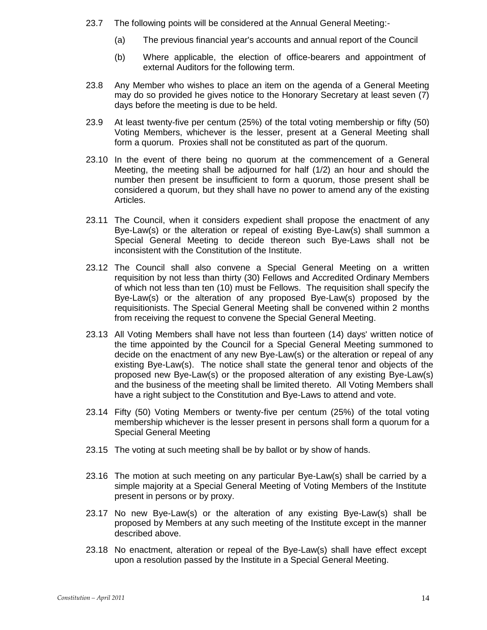- 23.7 The following points will be considered at the Annual General Meeting:-
	- (a) The previous financial year's accounts and annual report of the Council
	- (b) Where applicable, the election of office-bearers and appointment of external Auditors for the following term.
- 23.8 Any Member who wishes to place an item on the agenda of a General Meeting may do so provided he gives notice to the Honorary Secretary at least seven (7) days before the meeting is due to be held.
- 23.9 At least twenty-five per centum (25%) of the total voting membership or fifty (50) Voting Members, whichever is the lesser, present at a General Meeting shall form a quorum. Proxies shall not be constituted as part of the quorum.
- 23.10 In the event of there being no quorum at the commencement of a General Meeting, the meeting shall be adjourned for half (1/2) an hour and should the number then present be insufficient to form a quorum, those present shall be considered a quorum, but they shall have no power to amend any of the existing Articles.
- 23.11 The Council, when it considers expedient shall propose the enactment of any Bye-Law(s) or the alteration or repeal of existing Bye-Law(s) shall summon a Special General Meeting to decide thereon such Bye-Laws shall not be inconsistent with the Constitution of the Institute.
- 23.12 The Council shall also convene a Special General Meeting on a written requisition by not less than thirty (30) Fellows and Accredited Ordinary Members of which not less than ten (10) must be Fellows. The requisition shall specify the Bye-Law(s) or the alteration of any proposed Bye-Law(s) proposed by the requisitionists. The Special General Meeting shall be convened within 2 months from receiving the request to convene the Special General Meeting.
- 23.13 All Voting Members shall have not less than fourteen (14) days' written notice of the time appointed by the Council for a Special General Meeting summoned to decide on the enactment of any new Bye-Law(s) or the alteration or repeal of any existing Bye-Law(s). The notice shall state the general tenor and objects of the proposed new Bye-Law(s) or the proposed alteration of any existing Bye-Law(s) and the business of the meeting shall be limited thereto. All Voting Members shall have a right subject to the Constitution and Bye-Laws to attend and vote.
- 23.14 Fifty (50) Voting Members or twenty-five per centum (25%) of the total voting membership whichever is the lesser present in persons shall form a quorum for a Special General Meeting
- 23.15 The voting at such meeting shall be by ballot or by show of hands.
- 23.16 The motion at such meeting on any particular Bye-Law(s) shall be carried by a simple majority at a Special General Meeting of Voting Members of the Institute present in persons or by proxy.
- 23.17 No new Bye-Law(s) or the alteration of any existing Bye-Law(s) shall be proposed by Members at any such meeting of the Institute except in the manner described above.
- 23.18 No enactment, alteration or repeal of the Bye-Law(s) shall have effect except upon a resolution passed by the Institute in a Special General Meeting.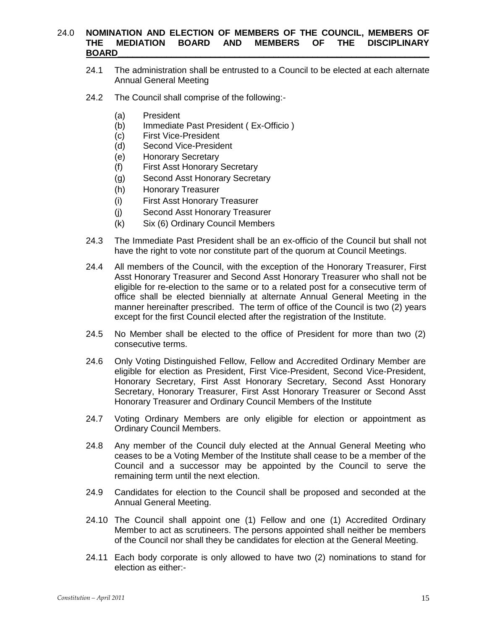# 24.0 **NOMINATION AND ELECTION OF MEMBERS OF THE COUNCIL, MEMBERS OF THE MEDIATION BOARD AND MEMBERS OF THE DISCIPLINARY BOARD\_\_\_\_\_\_\_\_\_\_\_\_\_\_\_\_\_\_\_\_\_\_\_\_\_\_\_\_\_\_\_\_\_\_\_\_\_\_\_\_\_\_\_\_\_\_\_\_\_\_\_\_\_\_\_\_\_\_\_\_\_\_\_\_**

- 24.1 The administration shall be entrusted to a Council to be elected at each alternate Annual General Meeting
- 24.2 The Council shall comprise of the following:-
	- (a) President
	- (b) Immediate Past President ( Ex-Officio )
	- (c) First Vice-President
	- (d) Second Vice-President
	- (e) Honorary Secretary
	- (f) First Asst Honorary Secretary
	- (g) Second Asst Honorary Secretary
	- (h) Honorary Treasurer
	- (i) First Asst Honorary Treasurer
	- (j) Second Asst Honorary Treasurer
	- (k) Six (6) Ordinary Council Members
- 24.3 The Immediate Past President shall be an ex-officio of the Council but shall not have the right to vote nor constitute part of the quorum at Council Meetings.
- 24.4 All members of the Council, with the exception of the Honorary Treasurer, First Asst Honorary Treasurer and Second Asst Honorary Treasurer who shall not be eligible for re-election to the same or to a related post for a consecutive term of office shall be elected biennially at alternate Annual General Meeting in the manner hereinafter prescribed. The term of office of the Council is two (2) years except for the first Council elected after the registration of the Institute.
- 24.5 No Member shall be elected to the office of President for more than two (2) consecutive terms.
- 24.6 Only Voting Distinguished Fellow, Fellow and Accredited Ordinary Member are eligible for election as President, First Vice-President, Second Vice-President, Honorary Secretary, First Asst Honorary Secretary, Second Asst Honorary Secretary, Honorary Treasurer, First Asst Honorary Treasurer or Second Asst Honorary Treasurer and Ordinary Council Members of the Institute
- 24.7 Voting Ordinary Members are only eligible for election or appointment as Ordinary Council Members.
- 24.8 Any member of the Council duly elected at the Annual General Meeting who ceases to be a Voting Member of the Institute shall cease to be a member of the Council and a successor may be appointed by the Council to serve the remaining term until the next election.
- 24.9 Candidates for election to the Council shall be proposed and seconded at the Annual General Meeting.
- 24.10 The Council shall appoint one (1) Fellow and one (1) Accredited Ordinary Member to act as scrutineers. The persons appointed shall neither be members of the Council nor shall they be candidates for election at the General Meeting.
- 24.11 Each body corporate is only allowed to have two (2) nominations to stand for election as either:-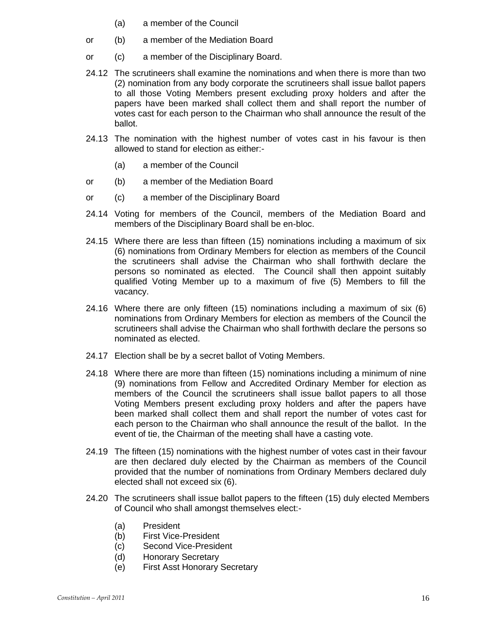- (a) a member of the Council
- or (b) a member of the Mediation Board
- or (c) a member of the Disciplinary Board.
- 24.12 The scrutineers shall examine the nominations and when there is more than two (2) nomination from any body corporate the scrutineers shall issue ballot papers to all those Voting Members present excluding proxy holders and after the papers have been marked shall collect them and shall report the number of votes cast for each person to the Chairman who shall announce the result of the ballot.
- 24.13 The nomination with the highest number of votes cast in his favour is then allowed to stand for election as either:-
	- (a) a member of the Council
- or (b) a member of the Mediation Board
- or (c) a member of the Disciplinary Board
- 24.14 Voting for members of the Council, members of the Mediation Board and members of the Disciplinary Board shall be en-bloc.
- 24.15 Where there are less than fifteen (15) nominations including a maximum of six (6) nominations from Ordinary Members for election as members of the Council the scrutineers shall advise the Chairman who shall forthwith declare the persons so nominated as elected. The Council shall then appoint suitably qualified Voting Member up to a maximum of five (5) Members to fill the vacancy.
- 24.16 Where there are only fifteen (15) nominations including a maximum of six (6) nominations from Ordinary Members for election as members of the Council the scrutineers shall advise the Chairman who shall forthwith declare the persons so nominated as elected.
- 24.17 Election shall be by a secret ballot of Voting Members.
- 24.18 Where there are more than fifteen (15) nominations including a minimum of nine (9) nominations from Fellow and Accredited Ordinary Member for election as members of the Council the scrutineers shall issue ballot papers to all those Voting Members present excluding proxy holders and after the papers have been marked shall collect them and shall report the number of votes cast for each person to the Chairman who shall announce the result of the ballot. In the event of tie, the Chairman of the meeting shall have a casting vote.
- 24.19 The fifteen (15) nominations with the highest number of votes cast in their favour are then declared duly elected by the Chairman as members of the Council provided that the number of nominations from Ordinary Members declared duly elected shall not exceed six (6).
- 24.20 The scrutineers shall issue ballot papers to the fifteen (15) duly elected Members of Council who shall amongst themselves elect:-
	- (a) President
	- (b) First Vice-President
	- (c) Second Vice-President
	- (d) Honorary Secretary
	- (e) First Asst Honorary Secretary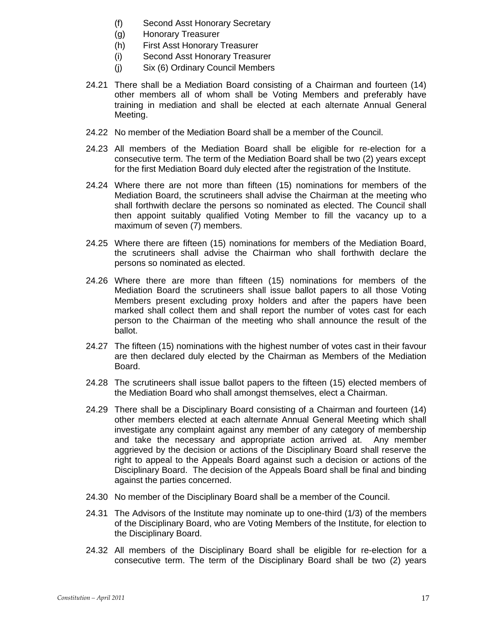- (f) Second Asst Honorary Secretary
- (g) Honorary Treasurer
- (h) First Asst Honorary Treasurer
- (i) Second Asst Honorary Treasurer
- (j) Six (6) Ordinary Council Members
- 24.21 There shall be a Mediation Board consisting of a Chairman and fourteen (14) other members all of whom shall be Voting Members and preferably have training in mediation and shall be elected at each alternate Annual General Meeting.
- 24.22 No member of the Mediation Board shall be a member of the Council.
- 24.23 All members of the Mediation Board shall be eligible for re-election for a consecutive term. The term of the Mediation Board shall be two (2) years except for the first Mediation Board duly elected after the registration of the Institute.
- 24.24 Where there are not more than fifteen (15) nominations for members of the Mediation Board, the scrutineers shall advise the Chairman at the meeting who shall forthwith declare the persons so nominated as elected. The Council shall then appoint suitably qualified Voting Member to fill the vacancy up to a maximum of seven (7) members.
- 24.25 Where there are fifteen (15) nominations for members of the Mediation Board, the scrutineers shall advise the Chairman who shall forthwith declare the persons so nominated as elected.
- 24.26 Where there are more than fifteen (15) nominations for members of the Mediation Board the scrutineers shall issue ballot papers to all those Voting Members present excluding proxy holders and after the papers have been marked shall collect them and shall report the number of votes cast for each person to the Chairman of the meeting who shall announce the result of the ballot.
- 24.27 The fifteen (15) nominations with the highest number of votes cast in their favour are then declared duly elected by the Chairman as Members of the Mediation Board.
- 24.28 The scrutineers shall issue ballot papers to the fifteen (15) elected members of the Mediation Board who shall amongst themselves, elect a Chairman.
- 24.29 There shall be a Disciplinary Board consisting of a Chairman and fourteen (14) other members elected at each alternate Annual General Meeting which shall investigate any complaint against any member of any category of membership and take the necessary and appropriate action arrived at. Any member aggrieved by the decision or actions of the Disciplinary Board shall reserve the right to appeal to the Appeals Board against such a decision or actions of the Disciplinary Board. The decision of the Appeals Board shall be final and binding against the parties concerned.
- 24.30 No member of the Disciplinary Board shall be a member of the Council.
- 24.31 The Advisors of the Institute may nominate up to one-third (1/3) of the members of the Disciplinary Board, who are Voting Members of the Institute, for election to the Disciplinary Board.
- 24.32 All members of the Disciplinary Board shall be eligible for re-election for a consecutive term. The term of the Disciplinary Board shall be two (2) years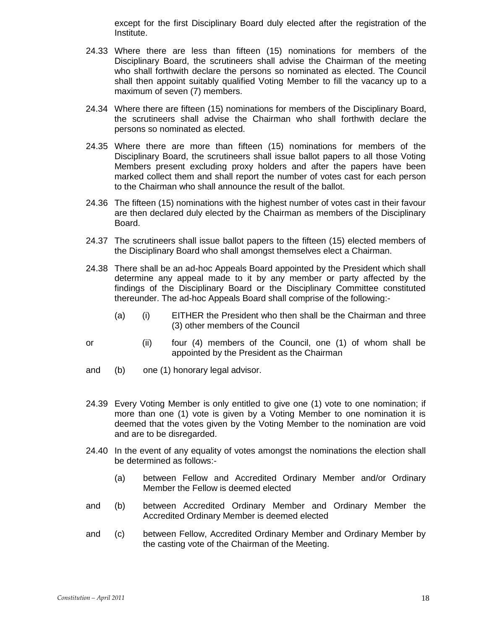except for the first Disciplinary Board duly elected after the registration of the Institute.

- 24.33 Where there are less than fifteen (15) nominations for members of the Disciplinary Board, the scrutineers shall advise the Chairman of the meeting who shall forthwith declare the persons so nominated as elected. The Council shall then appoint suitably qualified Voting Member to fill the vacancy up to a maximum of seven (7) members.
- 24.34 Where there are fifteen (15) nominations for members of the Disciplinary Board, the scrutineers shall advise the Chairman who shall forthwith declare the persons so nominated as elected.
- 24.35 Where there are more than fifteen (15) nominations for members of the Disciplinary Board, the scrutineers shall issue ballot papers to all those Voting Members present excluding proxy holders and after the papers have been marked collect them and shall report the number of votes cast for each person to the Chairman who shall announce the result of the ballot.
- 24.36 The fifteen (15) nominations with the highest number of votes cast in their favour are then declared duly elected by the Chairman as members of the Disciplinary Board.
- 24.37 The scrutineers shall issue ballot papers to the fifteen (15) elected members of the Disciplinary Board who shall amongst themselves elect a Chairman.
- 24.38 There shall be an ad-hoc Appeals Board appointed by the President which shall determine any appeal made to it by any member or party affected by the findings of the Disciplinary Board or the Disciplinary Committee constituted thereunder. The ad-hoc Appeals Board shall comprise of the following:-
	- (a) (i) EITHER the President who then shall be the Chairman and three (3) other members of the Council
- or (ii) four (4) members of the Council, one (1) of whom shall be appointed by the President as the Chairman
- and (b) one (1) honorary legal advisor.
- 24.39 Every Voting Member is only entitled to give one (1) vote to one nomination; if more than one (1) vote is given by a Voting Member to one nomination it is deemed that the votes given by the Voting Member to the nomination are void and are to be disregarded.
- 24.40 In the event of any equality of votes amongst the nominations the election shall be determined as follows:-
	- (a) between Fellow and Accredited Ordinary Member and/or Ordinary Member the Fellow is deemed elected
- and (b) between Accredited Ordinary Member and Ordinary Member the Accredited Ordinary Member is deemed elected
- and (c) between Fellow, Accredited Ordinary Member and Ordinary Member by the casting vote of the Chairman of the Meeting.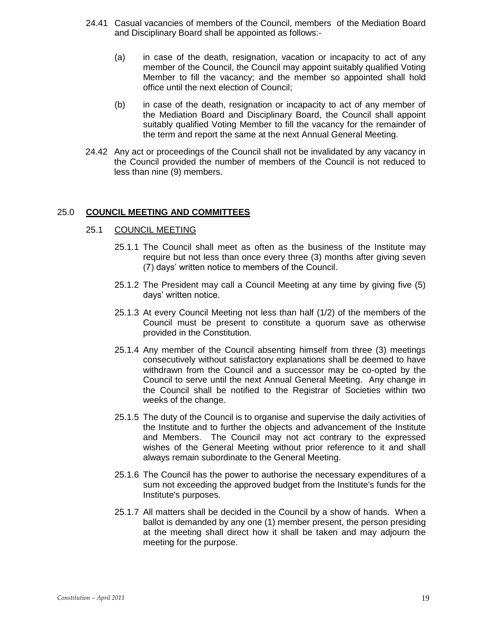- 24.41 Casual vacancies of members of the Council, members of the Mediation Board and Disciplinary Board shall be appointed as follows:-
	- (a) in case of the death, resignation, vacation or incapacity to act of any member of the Council, the Council may appoint suitably qualified Voting Member to fill the vacancy; and the member so appointed shall hold office until the next election of Council;
	- (b) in case of the death, resignation or incapacity to act of any member of the Mediation Board and Disciplinary Board, the Council shall appoint suitably qualified Voting Member to fill the vacancy for the remainder of the term and report the same at the next Annual General Meeting.
- 24.42 Any act or proceedings of the Council shall not be invalidated by any vacancy in the Council provided the number of members of the Council is not reduced to less than nine (9) members.

# 25.0 **COUNCIL MEETING AND COMMITTEES**

## 25.1 COUNCIL MEETING

- 25.1.1 The Council shall meet as often as the business of the Institute may require but not less than once every three (3) months after giving seven (7) days' written notice to members of the Council.
- 25.1.2 The President may call a Council Meeting at any time by giving five (5) days' written notice.
- 25.1.3 At every Council Meeting not less than half (1/2) of the members of the Council must be present to constitute a quorum save as otherwise provided in the Constitution.
- 25.1.4 Any member of the Council absenting himself from three (3) meetings consecutively without satisfactory explanations shall be deemed to have withdrawn from the Council and a successor may be co-opted by the Council to serve until the next Annual General Meeting. Any change in the Council shall be notified to the Registrar of Societies within two weeks of the change.
- 25.1.5 The duty of the Council is to organise and supervise the daily activities of the Institute and to further the objects and advancement of the Institute and Members. The Council may not act contrary to the expressed wishes of the General Meeting without prior reference to it and shall always remain subordinate to the General Meeting.
- 25.1.6 The Council has the power to authorise the necessary expenditures of a sum not exceeding the approved budget from the Institute's funds for the Institute's purposes.
- 25.1.7 All matters shall be decided in the Council by a show of hands. When a ballot is demanded by any one (1) member present, the person presiding at the meeting shall direct how it shall be taken and may adjourn the meeting for the purpose.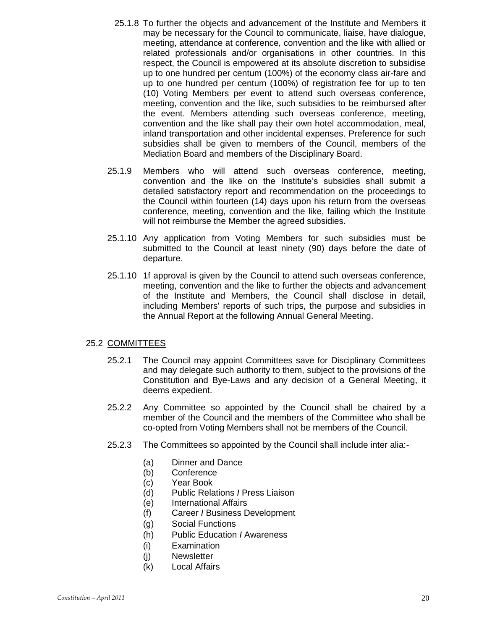- 25.1.8 To further the objects and advancement of the Institute and Members it may be necessary for the Council to communicate, liaise, have dialogue, meeting, attendance at conference, convention and the like with allied or related professionals and/or organisations in other countries. In this respect, the Council is empowered at its absolute discretion to subsidise up to one hundred per centum (100%) of the economy class air-fare and up to one hundred per centum (100%) of registration fee for up to ten (10) Voting Members per event to attend such overseas conference, meeting, convention and the like, such subsidies to be reimbursed after the event. Members attending such overseas conference, meeting, convention and the like shall pay their own hotel accommodation, meal, inland transportation and other incidental expenses. Preference for such subsidies shall be given to members of the Council, members of the Mediation Board and members of the Disciplinary Board.
- 25.1.9 Members who will attend such overseas conference, meeting, convention and the like on the Institute's subsidies shall submit a detailed satisfactory report and recommendation on the proceedings to the Council within fourteen (14) days upon his return from the overseas conference, meeting, convention and the like, failing which the Institute will not reimburse the Member the agreed subsidies.
- 25.1.10 Any application from Voting Members for such subsidies must be submitted to the Council at least ninety (90) days before the date of departure.
- 25.1.10 1f approval is given by the Council to attend such overseas conference, meeting, convention and the like to further the objects and advancement of the Institute and Members, the Council shall disclose in detail, including Members' reports of such trips, the purpose and subsidies in the Annual Report at the following Annual General Meeting.

# 25.2 COMMITTEES

- 25.2.1 The Council may appoint Committees save for Disciplinary Committees and may delegate such authority to them, subject to the provisions of the Constitution and Bye-Laws and any decision of a General Meeting, it deems expedient.
- 25.2.2 Any Committee so appointed by the Council shall be chaired by a member of the Council and the members of the Committee who shall be co-opted from Voting Members shall not be members of the Council.
- 25.2.3 The Committees so appointed by the Council shall include inter alia:-
	- (a) Dinner and Dance
	- (b) Conference
	- (c) Year Book
	- (d) Public Relations *I* Press Liaison
	- (e) International Affairs
	- (f) Career *I* Business Development
	- (g) Social Functions
	- (h) Public Education *I* Awareness
	- (i) Examination
	- (j) Newsletter
	- (k) Local Affairs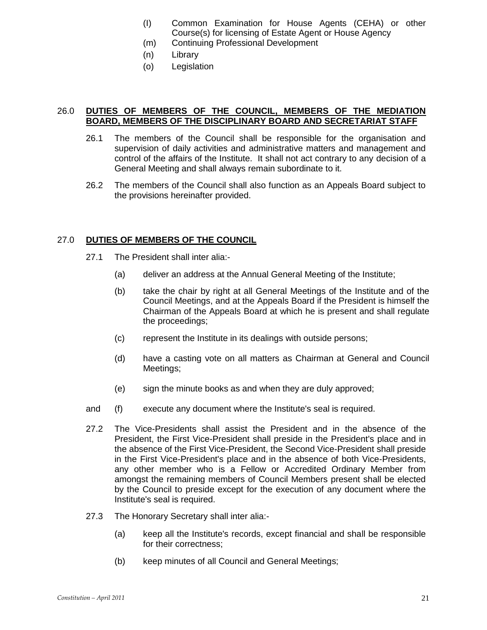- (I) Common Examination for House Agents (CEHA) or other Course(s) for licensing of Estate Agent or House Agency
- (m) Continuing Professional Development
- (n) Library
- (o) Legislation

# 26.0 **DUTIES OF MEMBERS OF THE COUNCIL, MEMBERS OF THE MEDIATION BOARD, MEMBERS OF THE DISCIPLINARY BOARD AND SECRETARIAT STAFF**

- 26.1 The members of the Council shall be responsible for the organisation and supervision of daily activities and administrative matters and management and control of the affairs of the Institute. It shall not act contrary to any decision of a General Meeting and shall always remain subordinate to it.
- 26.2 The members of the Council shall also function as an Appeals Board subject to the provisions hereinafter provided.

# 27.0 **DUTIES OF MEMBERS OF THE COUNCIL**

- 27.1 The President shall inter alia:-
	- (a) deliver an address at the Annual General Meeting of the Institute;
	- (b) take the chair by right at all General Meetings of the Institute and of the Council Meetings, and at the Appeals Board if the President is himself the Chairman of the Appeals Board at which he is present and shall regulate the proceedings;
	- (c) represent the Institute in its dealings with outside persons;
	- (d) have a casting vote on all matters as Chairman at General and Council Meetings;
	- (e) sign the minute books as and when they are duly approved;
- and (f) execute any document where the Institute's seal is required.
- 27.2 The Vice-Presidents shall assist the President and in the absence of the President, the First Vice-President shall preside in the President's place and in the absence of the First Vice-President, the Second Vice-President shall preside in the First Vice-President's place and in the absence of both Vice-Presidents, any other member who is a Fellow or Accredited Ordinary Member from amongst the remaining members of Council Members present shall be elected by the Council to preside except for the execution of any document where the Institute's seal is required.
- 27.3 The Honorary Secretary shall inter alia:-
	- (a) keep all the Institute's records, except financial and shall be responsible for their correctness;
	- (b) keep minutes of all Council and General Meetings;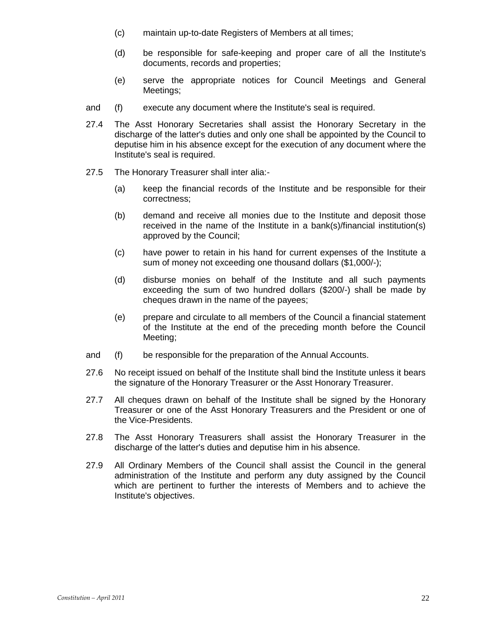- (c) maintain up-to-date Registers of Members at all times;
- (d) be responsible for safe-keeping and proper care of all the Institute's documents, records and properties;
- (e) serve the appropriate notices for Council Meetings and General Meetings;
- and (f) execute any document where the Institute's seal is required.
- 27.4 The Asst Honorary Secretaries shall assist the Honorary Secretary in the discharge of the latter's duties and only one shall be appointed by the Council to deputise him in his absence except for the execution of any document where the Institute's seal is required.
- 27.5 The Honorary Treasurer shall inter alia:-
	- (a) keep the financial records of the Institute and be responsible for their correctness;
	- (b) demand and receive all monies due to the Institute and deposit those received in the name of the Institute in a bank(s)/financial institution(s) approved by the Council;
	- (c) have power to retain in his hand for current expenses of the Institute a sum of money not exceeding one thousand dollars (\$1,000/-);
	- (d) disburse monies on behalf of the Institute and all such payments exceeding the sum of two hundred dollars (\$200/-) shall be made by cheques drawn in the name of the payees;
	- (e) prepare and circulate to all members of the Council a financial statement of the Institute at the end of the preceding month before the Council Meeting;
- and (f) be responsible for the preparation of the Annual Accounts.
- 27.6 No receipt issued on behalf of the Institute shall bind the Institute unless it bears the signature of the Honorary Treasurer or the Asst Honorary Treasurer.
- 27.7 All cheques drawn on behalf of the Institute shall be signed by the Honorary Treasurer or one of the Asst Honorary Treasurers and the President or one of the Vice-Presidents.
- 27.8 The Asst Honorary Treasurers shall assist the Honorary Treasurer in the discharge of the latter's duties and deputise him in his absence.
- 27.9 All Ordinary Members of the Council shall assist the Council in the general administration of the Institute and perform any duty assigned by the Council which are pertinent to further the interests of Members and to achieve the Institute's objectives.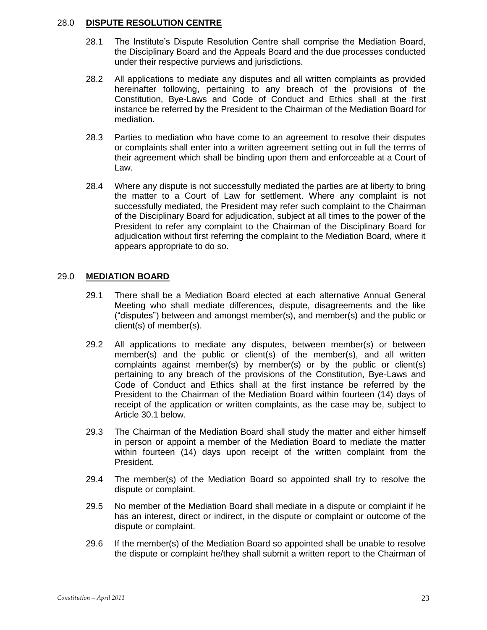# 28.0 **DISPUTE RESOLUTION CENTRE**

- 28.1 The Institute's Dispute Resolution Centre shall comprise the Mediation Board, the Disciplinary Board and the Appeals Board and the due processes conducted under their respective purviews and jurisdictions.
- 28.2 All applications to mediate any disputes and all written complaints as provided hereinafter following, pertaining to any breach of the provisions of the Constitution, Bye-Laws and Code of Conduct and Ethics shall at the first instance be referred by the President to the Chairman of the Mediation Board for mediation.
- 28.3 Parties to mediation who have come to an agreement to resolve their disputes or complaints shall enter into a written agreement setting out in full the terms of their agreement which shall be binding upon them and enforceable at a Court of Law.
- 28.4 Where any dispute is not successfully mediated the parties are at liberty to bring the matter to a Court of Law for settlement. Where any complaint is not successfully mediated, the President may refer such complaint to the Chairman of the Disciplinary Board for adjudication, subject at all times to the power of the President to refer any complaint to the Chairman of the Disciplinary Board for adjudication without first referring the complaint to the Mediation Board, where it appears appropriate to do so.

# 29.0 **MEDIATION BOARD**

- 29.1 There shall be a Mediation Board elected at each alternative Annual General Meeting who shall mediate differences, dispute, disagreements and the like ("disputes") between and amongst member(s), and member(s) and the public or client(s) of member(s).
- 29.2 All applications to mediate any disputes, between member(s) or between member(s) and the public or client(s) of the member(s), and all written complaints against member(s) by member(s) or by the public or client(s) pertaining to any breach of the provisions of the Constitution, Bye-Laws and Code of Conduct and Ethics shall at the first instance be referred by the President to the Chairman of the Mediation Board within fourteen (14) days of receipt of the application or written complaints, as the case may be, subject to Article 30.1 below.
- 29.3 The Chairman of the Mediation Board shall study the matter and either himself in person or appoint a member of the Mediation Board to mediate the matter within fourteen (14) days upon receipt of the written complaint from the President.
- 29.4 The member(s) of the Mediation Board so appointed shall try to resolve the dispute or complaint.
- 29.5 No member of the Mediation Board shall mediate in a dispute or complaint if he has an interest, direct or indirect, in the dispute or complaint or outcome of the dispute or complaint.
- 29.6 If the member(s) of the Mediation Board so appointed shall be unable to resolve the dispute or complaint he/they shall submit a written report to the Chairman of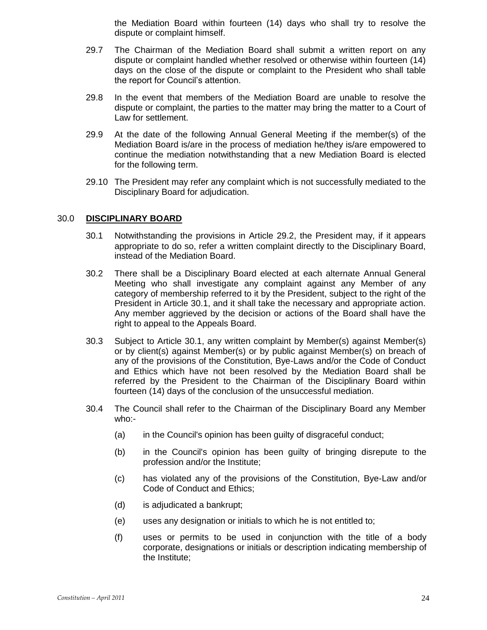the Mediation Board within fourteen (14) days who shall try to resolve the dispute or complaint himself.

- 29.7 The Chairman of the Mediation Board shall submit a written report on any dispute or complaint handled whether resolved or otherwise within fourteen (14) days on the close of the dispute or complaint to the President who shall table the report for Council's attention.
- 29.8 In the event that members of the Mediation Board are unable to resolve the dispute or complaint, the parties to the matter may bring the matter to a Court of Law for settlement.
- 29.9 At the date of the following Annual General Meeting if the member(s) of the Mediation Board is/are in the process of mediation he/they is/are empowered to continue the mediation notwithstanding that a new Mediation Board is elected for the following term.
- 29.10 The President may refer any complaint which is not successfully mediated to the Disciplinary Board for adjudication.

## 30.0 **DISCIPLINARY BOARD**

- 30.1 Notwithstanding the provisions in Article 29.2, the President may, if it appears appropriate to do so, refer a written complaint directly to the Disciplinary Board, instead of the Mediation Board.
- 30.2 There shall be a Disciplinary Board elected at each alternate Annual General Meeting who shall investigate any complaint against any Member of any category of membership referred to it by the President, subject to the right of the President in Article 30.1, and it shall take the necessary and appropriate action. Any member aggrieved by the decision or actions of the Board shall have the right to appeal to the Appeals Board.
- 30.3 Subject to Article 30.1, any written complaint by Member(s) against Member(s) or by client(s) against Member(s) or by public against Member(s) on breach of any of the provisions of the Constitution, Bye-Laws and/or the Code of Conduct and Ethics which have not been resolved by the Mediation Board shall be referred by the President to the Chairman of the Disciplinary Board within fourteen (14) days of the conclusion of the unsuccessful mediation.
- 30.4 The Council shall refer to the Chairman of the Disciplinary Board any Member who:-
	- (a) in the Council's opinion has been guilty of disgraceful conduct;
	- (b) in the Council's opinion has been guilty of bringing disrepute to the profession and/or the Institute;
	- (c) has violated any of the provisions of the Constitution, Bye-Law and/or Code of Conduct and Ethics;
	- (d) is adjudicated a bankrupt;
	- (e) uses any designation or initials to which he is not entitled to;
	- (f) uses or permits to be used in conjunction with the title of a body corporate, designations or initials or description indicating membership of the Institute;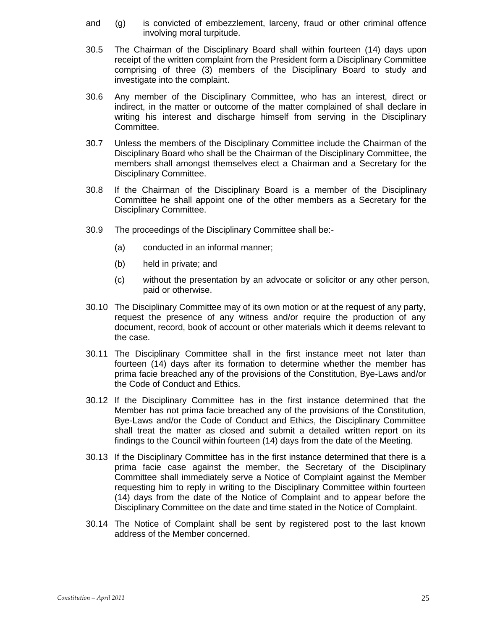- and (g) is convicted of embezzlement, larceny, fraud or other criminal offence involving moral turpitude.
- 30.5 The Chairman of the Disciplinary Board shall within fourteen (14) days upon receipt of the written complaint from the President form a Disciplinary Committee comprising of three (3) members of the Disciplinary Board to study and investigate into the complaint.
- 30.6 Any member of the Disciplinary Committee, who has an interest, direct or indirect, in the matter or outcome of the matter complained of shall declare in writing his interest and discharge himself from serving in the Disciplinary Committee.
- 30.7 Unless the members of the Disciplinary Committee include the Chairman of the Disciplinary Board who shall be the Chairman of the Disciplinary Committee, the members shall amongst themselves elect a Chairman and a Secretary for the Disciplinary Committee.
- 30.8 If the Chairman of the Disciplinary Board is a member of the Disciplinary Committee he shall appoint one of the other members as a Secretary for the Disciplinary Committee.
- 30.9 The proceedings of the Disciplinary Committee shall be:-
	- (a) conducted in an informal manner;
	- (b) held in private; and
	- (c) without the presentation by an advocate or solicitor or any other person, paid or otherwise.
- 30.10 The Disciplinary Committee may of its own motion or at the request of any party, request the presence of any witness and/or require the production of any document, record, book of account or other materials which it deems relevant to the case.
- 30.11 The Disciplinary Committee shall in the first instance meet not later than fourteen (14) days after its formation to determine whether the member has prima facie breached any of the provisions of the Constitution, Bye-Laws and/or the Code of Conduct and Ethics.
- 30.12 If the Disciplinary Committee has in the first instance determined that the Member has not prima facie breached any of the provisions of the Constitution, Bye-Laws and/or the Code of Conduct and Ethics, the Disciplinary Committee shall treat the matter as closed and submit a detailed written report on its findings to the Council within fourteen (14) days from the date of the Meeting.
- 30.13 If the Disciplinary Committee has in the first instance determined that there is a prima facie case against the member, the Secretary of the Disciplinary Committee shall immediately serve a Notice of Complaint against the Member requesting him to reply in writing to the Disciplinary Committee within fourteen (14) days from the date of the Notice of Complaint and to appear before the Disciplinary Committee on the date and time stated in the Notice of Complaint.
- 30.14 The Notice of Complaint shall be sent by registered post to the last known address of the Member concerned.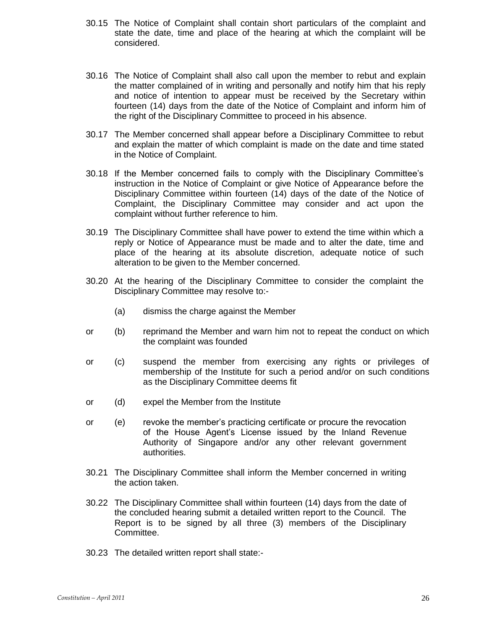- 30.15 The Notice of Complaint shall contain short particulars of the complaint and state the date, time and place of the hearing at which the complaint will be considered.
- 30.16 The Notice of Complaint shall also call upon the member to rebut and explain the matter complained of in writing and personally and notify him that his reply and notice of intention to appear must be received by the Secretary within fourteen (14) days from the date of the Notice of Complaint and inform him of the right of the Disciplinary Committee to proceed in his absence.
- 30.17 The Member concerned shall appear before a Disciplinary Committee to rebut and explain the matter of which complaint is made on the date and time stated in the Notice of Complaint.
- 30.18 If the Member concerned fails to comply with the Disciplinary Committee's instruction in the Notice of Complaint or give Notice of Appearance before the Disciplinary Committee within fourteen (14) days of the date of the Notice of Complaint, the Disciplinary Committee may consider and act upon the complaint without further reference to him.
- 30.19 The Disciplinary Committee shall have power to extend the time within which a reply or Notice of Appearance must be made and to alter the date, time and place of the hearing at its absolute discretion, adequate notice of such alteration to be given to the Member concerned.
- 30.20 At the hearing of the Disciplinary Committee to consider the complaint the Disciplinary Committee may resolve to:-
	- (a) dismiss the charge against the Member
- or (b) reprimand the Member and warn him not to repeat the conduct on which the complaint was founded
- or (c) suspend the member from exercising any rights or privileges of membership of the Institute for such a period and/or on such conditions as the Disciplinary Committee deems fit
- or (d) expel the Member from the Institute
- or (e) revoke the member's practicing certificate or procure the revocation of the House Agent's License issued by the Inland Revenue Authority of Singapore and/or any other relevant government authorities.
- 30.21 The Disciplinary Committee shall inform the Member concerned in writing the action taken.
- 30.22 The Disciplinary Committee shall within fourteen (14) days from the date of the concluded hearing submit a detailed written report to the Council. The Report is to be signed by all three (3) members of the Disciplinary Committee.
- 30.23 The detailed written report shall state:-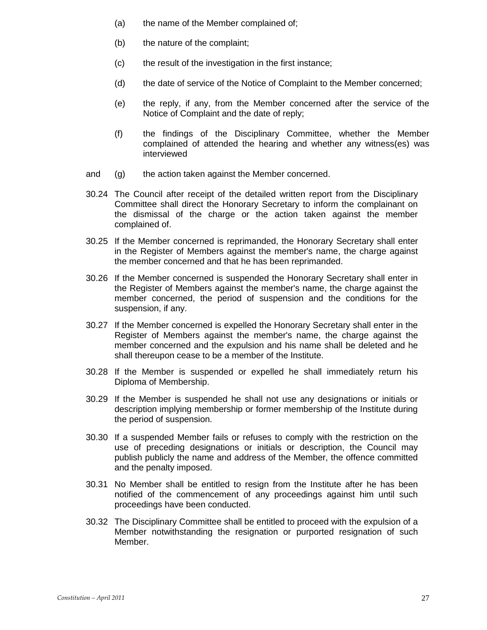- (a) the name of the Member complained of;
- (b) the nature of the complaint;
- (c) the result of the investigation in the first instance;
- (d) the date of service of the Notice of Complaint to the Member concerned;
- (e) the reply, if any, from the Member concerned after the service of the Notice of Complaint and the date of reply;
- (f) the findings of the Disciplinary Committee, whether the Member complained of attended the hearing and whether any witness(es) was interviewed
- and (g) the action taken against the Member concerned.
- 30.24 The Council after receipt of the detailed written report from the Disciplinary Committee shall direct the Honorary Secretary to inform the complainant on the dismissal of the charge or the action taken against the member complained of.
- 30.25 If the Member concerned is reprimanded, the Honorary Secretary shall enter in the Register of Members against the member's name, the charge against the member concerned and that he has been reprimanded.
- 30.26 If the Member concerned is suspended the Honorary Secretary shall enter in the Register of Members against the member's name, the charge against the member concerned, the period of suspension and the conditions for the suspension, if any.
- 30.27 If the Member concerned is expelled the Honorary Secretary shall enter in the Register of Members against the member's name, the charge against the member concerned and the expulsion and his name shall be deleted and he shall thereupon cease to be a member of the Institute.
- 30.28 If the Member is suspended or expelled he shall immediately return his Diploma of Membership.
- 30.29 If the Member is suspended he shall not use any designations or initials or description implying membership or former membership of the Institute during the period of suspension.
- 30.30 If a suspended Member fails or refuses to comply with the restriction on the use of preceding designations or initials or description, the Council may publish publicly the name and address of the Member, the offence committed and the penalty imposed.
- 30.31 No Member shall be entitled to resign from the Institute after he has been notified of the commencement of any proceedings against him until such proceedings have been conducted.
- 30.32 The Disciplinary Committee shall be entitled to proceed with the expulsion of a Member notwithstanding the resignation or purported resignation of such Member.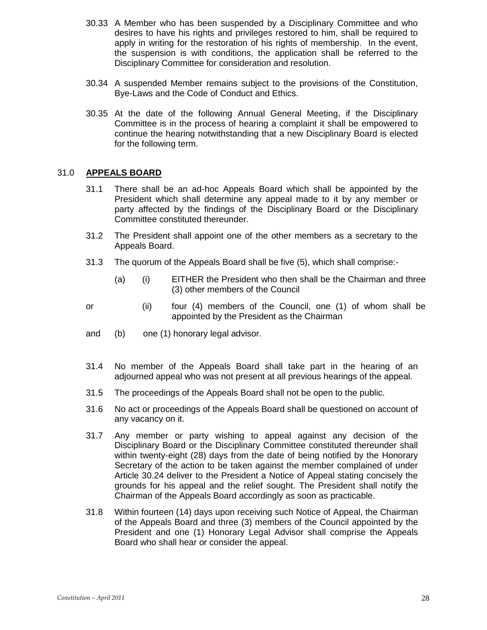- 30.33 A Member who has been suspended by a Disciplinary Committee and who desires to have his rights and privileges restored to him, shall be required to apply in writing for the restoration of his rights of membership. In the event, the suspension is with conditions, the application shall be referred to the Disciplinary Committee for consideration and resolution.
- 30.34 A suspended Member remains subject to the provisions of the Constitution, Bye-Laws and the Code of Conduct and Ethics.
- 30.35 At the date of the following Annual General Meeting, if the Disciplinary Committee is in the process of hearing a complaint it shall be empowered to continue the hearing notwithstanding that a new Disciplinary Board is elected for the following term.

# 31.0 **APPEALS BOARD**

- 31.1 There shall be an ad-hoc Appeals Board which shall be appointed by the President which shall determine any appeal made to it by any member or party affected by the findings of the Disciplinary Board or the Disciplinary Committee constituted thereunder.
- 31.2 The President shall appoint one of the other members as a secretary to the Appeals Board.
- 31.3 The quorum of the Appeals Board shall be five (5), which shall comprise:-
	- (a) (i) EITHER the President who then shall be the Chairman and three (3) other members of the Council
- or (ii) four (4) members of the Council, one (1) of whom shall be appointed by the President as the Chairman
- and (b) one (1) honorary legal advisor.
- 31.4 No member of the Appeals Board shall take part in the hearing of an adjourned appeal who was not present at all previous hearings of the appeal.
- 31.5 The proceedings of the Appeals Board shall not be open to the public.
- 31.6 No act or proceedings of the Appeals Board shall be questioned on account of any vacancy on it.
- 31.7 Any member or party wishing to appeal against any decision of the Disciplinary Board or the Disciplinary Committee constituted thereunder shall within twenty-eight (28) days from the date of being notified by the Honorary Secretary of the action to be taken against the member complained of under Article 30.24 deliver to the President a Notice of Appeal stating concisely the grounds for his appeal and the relief sought. The President shall notify the Chairman of the Appeals Board accordingly as soon as practicable.
- 31.8 Within fourteen (14) days upon receiving such Notice of Appeal, the Chairman of the Appeals Board and three (3) members of the Council appointed by the President and one (1) Honorary Legal Advisor shall comprise the Appeals Board who shall hear or consider the appeal.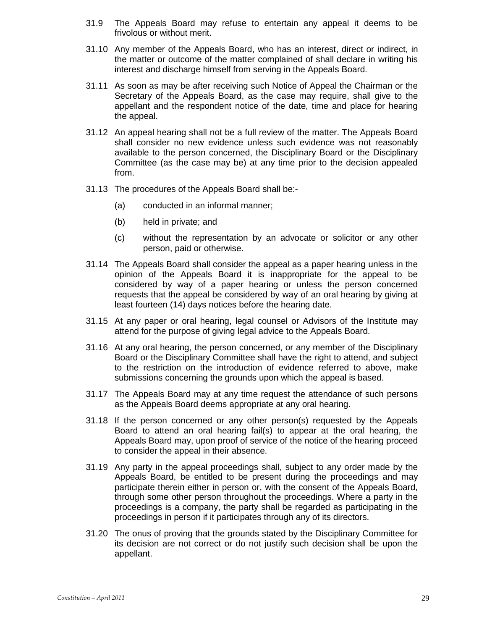- 31.9 The Appeals Board may refuse to entertain any appeal it deems to be frivolous or without merit.
- 31.10 Any member of the Appeals Board, who has an interest, direct or indirect, in the matter or outcome of the matter complained of shall declare in writing his interest and discharge himself from serving in the Appeals Board.
- 31.11 As soon as may be after receiving such Notice of Appeal the Chairman or the Secretary of the Appeals Board, as the case may require, shall give to the appellant and the respondent notice of the date, time and place for hearing the appeal.
- 31.12 An appeal hearing shall not be a full review of the matter. The Appeals Board shall consider no new evidence unless such evidence was not reasonably available to the person concerned, the Disciplinary Board or the Disciplinary Committee (as the case may be) at any time prior to the decision appealed from.
- 31.13 The procedures of the Appeals Board shall be:-
	- (a) conducted in an informal manner;
	- (b) held in private; and
	- (c) without the representation by an advocate or solicitor or any other person, paid or otherwise.
- 31.14 The Appeals Board shall consider the appeal as a paper hearing unless in the opinion of the Appeals Board it is inappropriate for the appeal to be considered by way of a paper hearing or unless the person concerned requests that the appeal be considered by way of an oral hearing by giving at least fourteen (14) days notices before the hearing date.
- 31.15 At any paper or oral hearing, legal counsel or Advisors of the Institute may attend for the purpose of giving legal advice to the Appeals Board.
- 31.16 At any oral hearing, the person concerned, or any member of the Disciplinary Board or the Disciplinary Committee shall have the right to attend, and subject to the restriction on the introduction of evidence referred to above, make submissions concerning the grounds upon which the appeal is based.
- 31.17 The Appeals Board may at any time request the attendance of such persons as the Appeals Board deems appropriate at any oral hearing.
- 31.18 If the person concerned or any other person(s) requested by the Appeals Board to attend an oral hearing fail(s) to appear at the oral hearing, the Appeals Board may, upon proof of service of the notice of the hearing proceed to consider the appeal in their absence.
- 31.19 Any party in the appeal proceedings shall, subject to any order made by the Appeals Board, be entitled to be present during the proceedings and may participate therein either in person or, with the consent of the Appeals Board, through some other person throughout the proceedings. Where a party in the proceedings is a company, the party shall be regarded as participating in the proceedings in person if it participates through any of its directors.
- 31.20 The onus of proving that the grounds stated by the Disciplinary Committee for its decision are not correct or do not justify such decision shall be upon the appellant.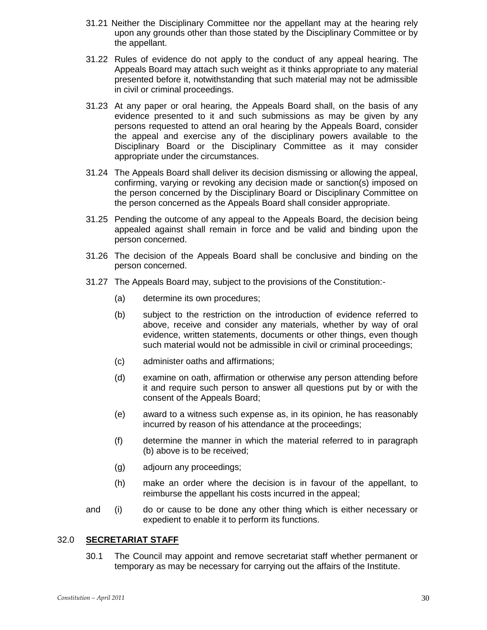- 31.21 Neither the Disciplinary Committee nor the appellant may at the hearing rely upon any grounds other than those stated by the Disciplinary Committee or by the appellant.
- 31.22 Rules of evidence do not apply to the conduct of any appeal hearing. The Appeals Board may attach such weight as it thinks appropriate to any material presented before it, notwithstanding that such material may not be admissible in civil or criminal proceedings.
- 31.23 At any paper or oral hearing, the Appeals Board shall, on the basis of any evidence presented to it and such submissions as may be given by any persons requested to attend an oral hearing by the Appeals Board, consider the appeal and exercise any of the disciplinary powers available to the Disciplinary Board or the Disciplinary Committee as it may consider appropriate under the circumstances.
- 31.24 The Appeals Board shall deliver its decision dismissing or allowing the appeal, confirming, varying or revoking any decision made or sanction(s) imposed on the person concerned by the Disciplinary Board or Disciplinary Committee on the person concerned as the Appeals Board shall consider appropriate.
- 31.25 Pending the outcome of any appeal to the Appeals Board, the decision being appealed against shall remain in force and be valid and binding upon the person concerned.
- 31.26 The decision of the Appeals Board shall be conclusive and binding on the person concerned.
- 31.27 The Appeals Board may, subject to the provisions of the Constitution:-
	- (a) determine its own procedures;
	- (b) subject to the restriction on the introduction of evidence referred to above, receive and consider any materials, whether by way of oral evidence, written statements, documents or other things, even though such material would not be admissible in civil or criminal proceedings;
	- (c) administer oaths and affirmations;
	- (d) examine on oath, affirmation or otherwise any person attending before it and require such person to answer all questions put by or with the consent of the Appeals Board;
	- (e) award to a witness such expense as, in its opinion, he has reasonably incurred by reason of his attendance at the proceedings;
	- (f) determine the manner in which the material referred to in paragraph (b) above is to be received;
	- (g) adjourn any proceedings;
	- (h) make an order where the decision is in favour of the appellant, to reimburse the appellant his costs incurred in the appeal;
- and (i) do or cause to be done any other thing which is either necessary or expedient to enable it to perform its functions.

# 32.0 **SECRETARIAT STAFF**

30.1 The Council may appoint and remove secretariat staff whether permanent or temporary as may be necessary for carrying out the affairs of the Institute.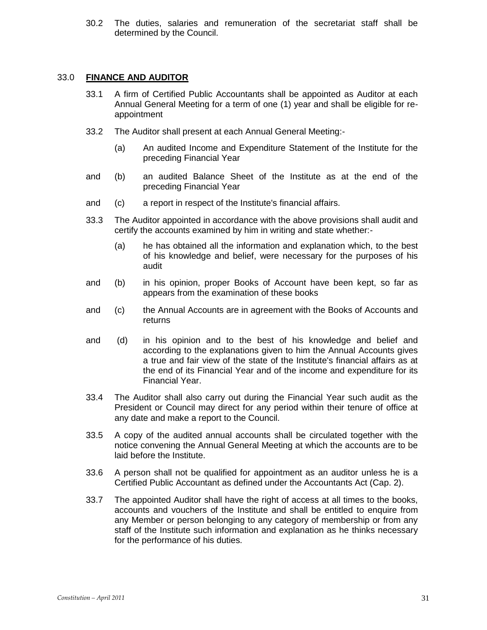30.2 The duties, salaries and remuneration of the secretariat staff shall be determined by the Council.

#### 33.0 **FINANCE AND AUDITOR**

- 33.1 A firm of Certified Public Accountants shall be appointed as Auditor at each Annual General Meeting for a term of one (1) year and shall be eligible for reappointment
- 33.2 The Auditor shall present at each Annual General Meeting:-
	- (a) An audited Income and Expenditure Statement of the Institute for the preceding Financial Year
- and (b) an audited Balance Sheet of the Institute as at the end of the preceding Financial Year
- and (c) a report in respect of the Institute's financial affairs.
- 33.3 The Auditor appointed in accordance with the above provisions shall audit and certify the accounts examined by him in writing and state whether:-
	- (a) he has obtained all the information and explanation which, to the best of his knowledge and belief, were necessary for the purposes of his audit
- and (b) in his opinion, proper Books of Account have been kept, so far as appears from the examination of these books
- and (c) the Annual Accounts are in agreement with the Books of Accounts and returns
- and (d) in his opinion and to the best of his knowledge and belief and according to the explanations given to him the Annual Accounts gives a true and fair view of the state of the Institute's financial affairs as at the end of its Financial Year and of the income and expenditure for its Financial Year.
- 33.4 The Auditor shall also carry out during the Financial Year such audit as the President or Council may direct for any period within their tenure of office at any date and make a report to the Council.
- 33.5 A copy of the audited annual accounts shall be circulated together with the notice convening the Annual General Meeting at which the accounts are to be laid before the Institute.
- 33.6 A person shall not be qualified for appointment as an auditor unless he is a Certified Public Accountant as defined under the Accountants Act (Cap. 2).
- 33.7 The appointed Auditor shall have the right of access at all times to the books, accounts and vouchers of the Institute and shall be entitled to enquire from any Member or person belonging to any category of membership or from any staff of the Institute such information and explanation as he thinks necessary for the performance of his duties.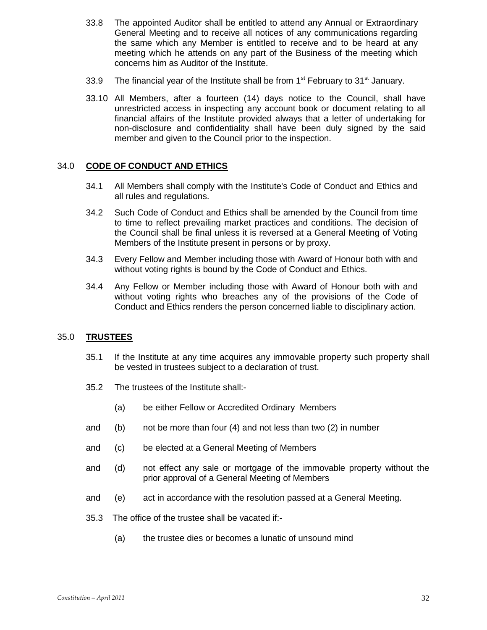- 33.8 The appointed Auditor shall be entitled to attend any Annual or Extraordinary General Meeting and to receive all notices of any communications regarding the same which any Member is entitled to receive and to be heard at any meeting which he attends on any part of the Business of the meeting which concerns him as Auditor of the Institute.
- 33.9 The financial year of the Institute shall be from  $1<sup>st</sup>$  February to  $31<sup>st</sup>$  January.
- 33.10 All Members, after a fourteen (14) days notice to the Council, shall have unrestricted access in inspecting any account book or document relating to all financial affairs of the Institute provided always that a letter of undertaking for non-disclosure and confidentiality shall have been duly signed by the said member and given to the Council prior to the inspection.

# 34.0 **CODE OF CONDUCT AND ETHICS**

- 34.1 All Members shall comply with the Institute's Code of Conduct and Ethics and all rules and regulations.
- 34.2 Such Code of Conduct and Ethics shall be amended by the Council from time to time to reflect prevailing market practices and conditions. The decision of the Council shall be final unless it is reversed at a General Meeting of Voting Members of the Institute present in persons or by proxy.
- 34.3Every Fellow and Member including those with Award of Honour both with and without voting rights is bound by the Code of Conduct and Ethics.
- 34.4 Any Fellow or Member including those with Award of Honour both with and without voting rights who breaches any of the provisions of the Code of Conduct and Ethics renders the person concerned liable to disciplinary action.

## 35.0 **TRUSTEES**

- 35.1 If the Institute at any time acquires any immovable property such property shall be vested in trustees subject to a declaration of trust.
- 35.2 The trustees of the Institute shall:-
	- (a) be either Fellow or Accredited Ordinary Members
- and (b) not be more than four (4) and not less than two (2) in number
- and (c) be elected at a General Meeting of Members
- and (d) not effect any sale or mortgage of the immovable property without the prior approval of a General Meeting of Members
- and (e) act in accordance with the resolution passed at a General Meeting.
- 35.3 The office of the trustee shall be vacated if:-
	- (a) the trustee dies or becomes a lunatic of unsound mind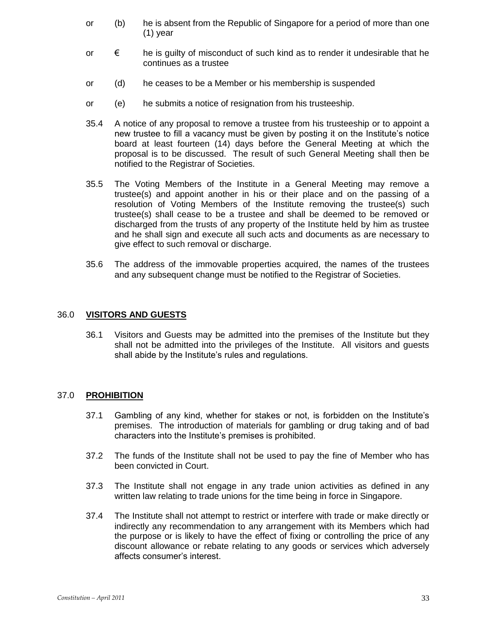- or (b) he is absent from the Republic of Singapore for a period of more than one (1) year
- or  $\epsilon$  he is guilty of misconduct of such kind as to render it undesirable that he continues as a trustee
- or (d) he ceases to be a Member or his membership is suspended
- or (e) he submits a notice of resignation from his trusteeship.
- 35.4 A notice of any proposal to remove a trustee from his trusteeship or to appoint a new trustee to fill a vacancy must be given by posting it on the Institute's notice board at least fourteen (14) days before the General Meeting at which the proposal is to be discussed. The result of such General Meeting shall then be notified to the Registrar of Societies.
- 35.5 The Voting Members of the Institute in a General Meeting may remove a trustee(s) and appoint another in his or their place and on the passing of a resolution of Voting Members of the Institute removing the trustee(s) such trustee(s) shall cease to be a trustee and shall be deemed to be removed or discharged from the trusts of any property of the Institute held by him as trustee and he shall sign and execute all such acts and documents as are necessary to give effect to such removal or discharge.
- 35.6 The address of the immovable properties acquired, the names of the trustees and any subsequent change must be notified to the Registrar of Societies.

## 36.0 **VISITORS AND GUESTS**

36.1 Visitors and Guests may be admitted into the premises of the Institute but they shall not be admitted into the privileges of the Institute. All visitors and guests shall abide by the Institute's rules and regulations.

## 37.0 **PROHIBITION**

- 37.1 Gambling of any kind, whether for stakes or not, is forbidden on the Institute's premises. The introduction of materials for gambling or drug taking and of bad characters into the Institute's premises is prohibited.
- 37.2 The funds of the Institute shall not be used to pay the fine of Member who has been convicted in Court.
- 37.3 The Institute shall not engage in any trade union activities as defined in any written law relating to trade unions for the time being in force in Singapore.
- 37.4 The Institute shall not attempt to restrict or interfere with trade or make directly or indirectly any recommendation to any arrangement with its Members which had the purpose or is likely to have the effect of fixing or controlling the price of any discount allowance or rebate relating to any goods or services which adversely affects consumer's interest.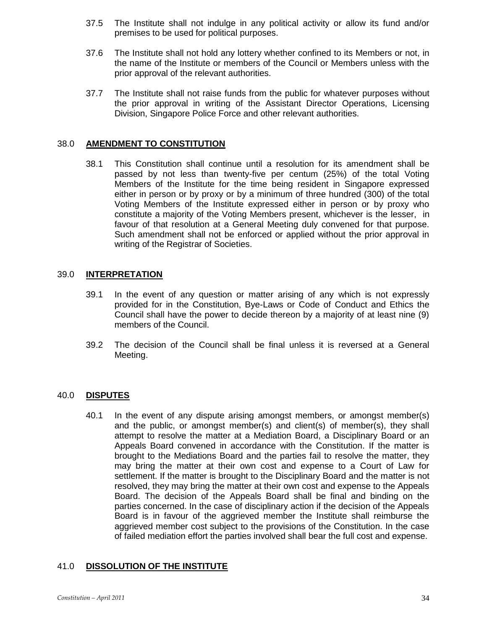- 37.5 The Institute shall not indulge in any political activity or allow its fund and/or premises to be used for political purposes.
- 37.6 The Institute shall not hold any lottery whether confined to its Members or not, in the name of the Institute or members of the Council or Members unless with the prior approval of the relevant authorities.
- 37.7 The Institute shall not raise funds from the public for whatever purposes without the prior approval in writing of the Assistant Director Operations, Licensing Division, Singapore Police Force and other relevant authorities.

# 38.0 **AMENDMENT TO CONSTITUTION**

38.1 This Constitution shall continue until a resolution for its amendment shall be passed by not less than twenty-five per centum (25%) of the total Voting Members of the Institute for the time being resident in Singapore expressed either in person or by proxy or by a minimum of three hundred (300) of the total Voting Members of the Institute expressed either in person or by proxy who constitute a majority of the Voting Members present, whichever is the lesser, in favour of that resolution at a General Meeting duly convened for that purpose. Such amendment shall not be enforced or applied without the prior approval in writing of the Registrar of Societies.

# 39.0 **INTERPRETATION**

- 39.1 In the event of any question or matter arising of any which is not expressly provided for in the Constitution, Bye-Laws or Code of Conduct and Ethics the Council shall have the power to decide thereon by a majority of at least nine (9) members of the Council.
- 39.2 The decision of the Council shall be final unless it is reversed at a General Meeting.

## 40.0 **DISPUTES**

40.1 In the event of any dispute arising amongst members, or amongst member(s) and the public, or amongst member(s) and client(s) of member(s), they shall attempt to resolve the matter at a Mediation Board, a Disciplinary Board or an Appeals Board convened in accordance with the Constitution. If the matter is brought to the Mediations Board and the parties fail to resolve the matter, they may bring the matter at their own cost and expense to a Court of Law for settlement. If the matter is brought to the Disciplinary Board and the matter is not resolved, they may bring the matter at their own cost and expense to the Appeals Board. The decision of the Appeals Board shall be final and binding on the parties concerned. In the case of disciplinary action if the decision of the Appeals Board is in favour of the aggrieved member the Institute shall reimburse the aggrieved member cost subject to the provisions of the Constitution. In the case of failed mediation effort the parties involved shall bear the full cost and expense.

# 41.0 **DISSOLUTION OF THE INSTITUTE**